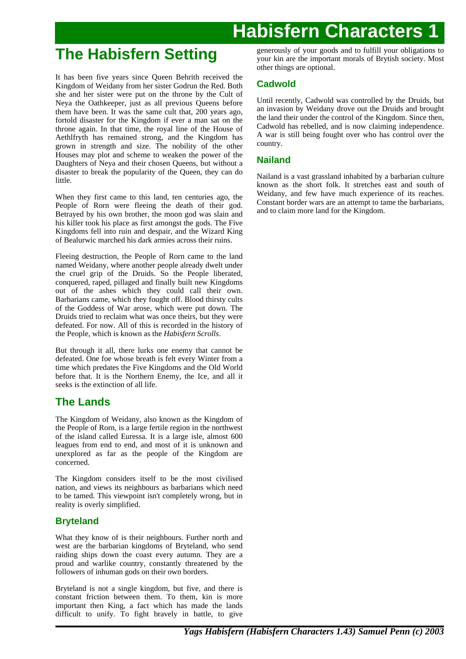## **The Habisfern Setting**

It has been five years since Queen Behrith received the Kingdom of Weidany from her sister Godrun the Red. Both she and her sister were put on the throne by the Cult of Neya the Oathkeeper, just as all previous Queens before them have been. It was the same cult that, 200 years ago, fortold disaster for the Kingdom if ever a man sat on the throne again. In that time, the royal line of the House of Aethlfryth has remained strong, and the Kingdom has grown in strength and size. The nobility of the other Houses may plot and scheme to weaken the power of the Daughters of Neya and their chosen Queens, but without a disaster to break the popularity of the Queen, they can do little.

When they first came to this land, ten centuries ago, the People of Rorn were fleeing the death of their god. Betrayed by his own brother, the moon god was slain and his killer took his place as first amongst the gods. The Five Kingdoms fell into ruin and despair, and the Wizard King of Bealurwic marched his dark armies across their ruins.

Fleeing destruction, the People of Rorn came to the land named Weidany, where another people already dwelt under the cruel grip of the Druids. So the People liberated, conquered, raped, pillaged and finally built new Kingdoms out of the ashes which they could call their own. Barbarians came, which they fought off. Blood thirsty cults of the Goddess of War arose, which were put down. The Druids tried to reclaim what was once theirs, but they were defeated. For now. All of this is recorded in the history of the People, which is known as the *Habisfern Scrolls*.

But through it all, there lurks one enemy that cannot be defeated. One foe whose breath is felt every Winter from a time which predates the Five Kingdoms and the Old World before that. It is the Northern Enemy, the Ice, and all it seeks is the extinction of all life.

## **The Lands**

The Kingdom of Weidany, also known as the Kingdom of the People of Rorn, is a large fertile region in the northwest of the island called Euressa. It is a large isle, almost 600 leagues from end to end, and most of it is unknown and unexplored as far as the people of the Kingdom are concerned.

The Kingdom considers itself to be the most civilised nation, and views its neighbours as barbarians which need to be tamed. This viewpoint isn't completely wrong, but in reality is overly simplified.

## **Bryteland**

What they know of is their neighbours. Further north and west are the barbarian kingdoms of Bryteland, who send raiding ships down the coast every autumn. They are a proud and warlike country, constantly threatened by the followers of inhuman gods on their own borders.

Bryteland is not a single kingdom, but five, and there is constant friction between them. To them, kin is more important then King, a fact which has made the lands difficult to unify. To fight bravely in battle, to give

generously of your goods and to fulfill your obligations to your kin are the important morals of Brytish society. Most other things are optional.

## **Cadwold**

Until recently, Cadwold was controlled by the Druids, but an invasion by Weidany drove out the Druids and brought the land their under the control of the Kingdom. Since then, Cadwold has rebelled, and is now claiming independence. A war is still being fought over who has control over the country.

## **Nailand**

Nailand is a vast grassland inhabited by a barbarian culture known as the short folk. It stretches east and south of Weidany, and few have much experience of its reaches. Constant border wars are an attempt to tame the barbarians, and to claim more land for the Kingdom.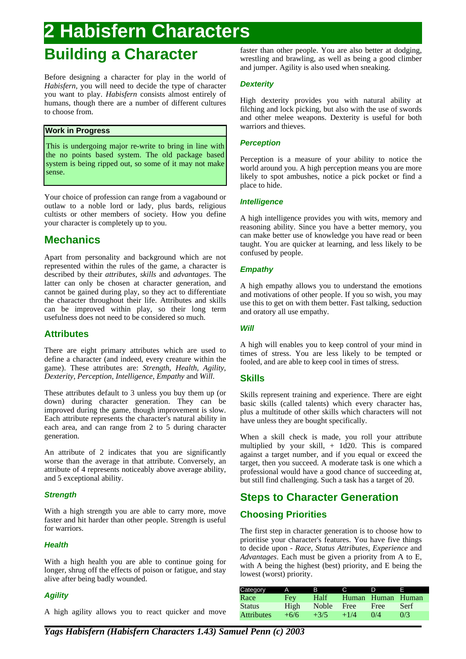## **Building a Character**

Before designing a character for play in the world of *Habisfern*, you will need to decide the type of character you want to play. *Habisfern* consists almost entirely of humans, though there are a number of different cultures to choose from.

## **Work in Progress**

This is undergoing major re-write to bring in line with the no points based system. The old package based system is being ripped out, so some of it may not make sense.

Your choice of profession can range from a vagabound or outlaw to a noble lord or lady, plus bards, religious cultists or other members of society. How you define your character is completely up to you.

## **Mechanics**

Apart from personality and background which are not represented within the rules of the game, a character is described by their *attributes*, *skills* and *advantages*. The latter can only be chosen at character generation, and cannot be gained during play, so they act to differentiate the character throughout their life. Attributes and skills can be improved within play, so their long term usefulness does not need to be considered so much.

## **Attributes**

There are eight primary attributes which are used to define a character (and indeed, every creature within the game). These attributes are: *Strength*, *Health*, *Agility*, *Dexterity*, *Perception*, *Intelligence*, *Empathy* and *Will*.

These attributes default to 3 unless you buy them up (or down) during character generation. They can be improved during the game, though improvement is slow. Each attribute represents the character's natural ability in each area, and can range from 2 to 5 during character generation.

An attribute of 2 indicates that you are significantly worse than the average in that attribute. Conversely, an attribute of 4 represents noticeably above average ability, and 5 exceptional ability.

## **Strength**

With a high strength you are able to carry more, move faster and hit harder than other people. Strength is useful for warriors.

## **Health**

With a high health you are able to continue going for longer, shrug off the effects of poison or fatigue, and stay alive after being badly wounded.

## **Agility**

A high agility allows you to react quicker and move

faster than other people. You are also better at dodging, wrestling and brawling, as well as being a good climber and jumper. Agility is also used when sneaking.

## **Dexterity**

High dexterity provides you with natural ability at filching and lock picking, but also with the use of swords and other melee weapons. Dexterity is useful for both warriors and thieves.

## **Perception**

Perception is a measure of your ability to notice the world around you. A high perception means you are more likely to spot ambushes, notice a pick pocket or find a place to hide.

## **Intelligence**

A high intelligence provides you with wits, memory and reasoning ability. Since you have a better memory, you can make better use of knowledge you have read or been taught. You are quicker at learning, and less likely to be confused by people.

## **Empathy**

A high empathy allows you to understand the emotions and motivations of other people. If you so wish, you may use this to get on with them better. Fast talking, seduction and oratory all use empathy.

## **Will**

A high will enables you to keep control of your mind in times of stress. You are less likely to be tempted or fooled, and are able to keep cool in times of stress.

## **Skills**

Skills represent training and experience. There are eight basic skills (called talents) which every character has, plus a multitude of other skills which characters will not have unless they are bought specifically.

When a skill check is made, you roll your attribute multiplied by your skill, + 1d20. This is compared against a target number, and if you equal or exceed the target, then you succeed. A moderate task is one which a professional would have a good chance of succeeding at, but still find challenging. Such a task has a target of 20.

## **Steps to Character Generation**

## **Choosing Priorities**

The first step in character generation is to choose how to prioritise your character's features. You have five things to decide upon - *Race*, *Status Attributes*, *Experience* and *Advantages*. Each must be given a priority from A to E, with A being the highest (best) priority, and E being the lowest (worst) priority.

| Category          | A      | R      |        | n                 | Е    |
|-------------------|--------|--------|--------|-------------------|------|
| Race              | Fey    | Half   |        | Human Human Human |      |
| <b>Status</b>     | High   | Noble  | Free   | Free              | Serf |
| <b>Attributes</b> | $+6/6$ | $+3/5$ | $+1/4$ | 0/4               | 0/3  |

*Yags Habisfern (Habisfern Characters 1.43) Samuel Penn (c) 2003*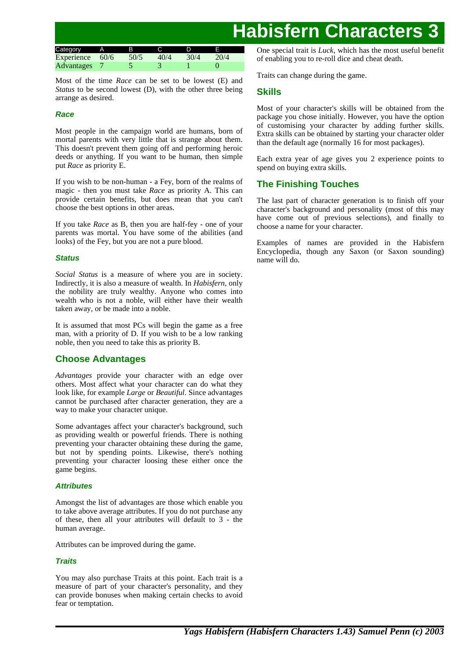| Category          | A.   | в    |      |      |  |
|-------------------|------|------|------|------|--|
| Experience        | 60/6 | 50/5 | 40/4 | 30/4 |  |
| <b>Advantages</b> |      |      |      |      |  |

Most of the time *Race* can be set to be lowest (E) and *Status* to be second lowest (D), with the other three being arrange as desired.

## **Race**

Most people in the campaign world are humans, born of mortal parents with very little that is strange about them. This doesn't prevent them going off and performing heroic deeds or anything. If you want to be human, then simple put *Race* as priority E.

If you wish to be non-human - a Fey, born of the realms of magic - then you must take *Race* as priority A. This can provide certain benefits, but does mean that you can't choose the best options in other areas.

If you take *Race* as B, then you are half-fey - one of your parents was mortal. You have some of the abilities (and looks) of the Fey, but you are not a pure blood.

## **Status**

*Social Status* is a measure of where you are in society. Indirectly, it is also a measure of wealth. In *Habisfern*, only the nobility are truly wealthy. Anyone who comes into wealth who is not a noble, will either have their wealth taken away, or be made into a noble.

It is assumed that most PCs will begin the game as a free man, with a priority of D. If you wish to be a low ranking noble, then you need to take this as priority B.

## **Choose Advantages**

*Advantages* provide your character with an edge over others. Most affect what your character can do what they look like, for example *Large* or *Beautiful*. Since advantages cannot be purchased after character generation, they are a way to make your character unique.

Some advantages affect your character's background, such as providing wealth or powerful friends. There is nothing preventing your character obtaining these during the game, but not by spending points. Likewise, there's nothing preventing your character loosing these either once the game begins.

## **Attributes**

Amongst the list of advantages are those which enable you to take above average attributes. If you do not purchase any of these, then all your attributes will default to 3 - the human average.

Attributes can be improved during the game.

## **Traits**

You may also purchase Traits at this point. Each trait is a measure of part of your character's personality, and they can provide bonuses when making certain checks to avoid fear or temptation.

One special trait is *Luck*, which has the most useful benefit of enabling you to re-roll dice and cheat death.

Traits can change during the game.

## **Skills**

Most of your character's skills will be obtained from the package you chose initially. However, you have the option of customising your character by adding further skills. Extra skills can be obtained by starting your character older than the default age (normally 16 for most packages).

Each extra year of age gives you 2 experience points to spend on buying extra skills.

## **The Finishing Touches**

The last part of character generation is to finish off your character's background and personality (most of this may have come out of previous selections), and finally to choose a name for your character.

Examples of names are provided in the Habisfern Encyclopedia, though any Saxon (or Saxon sounding) name will do.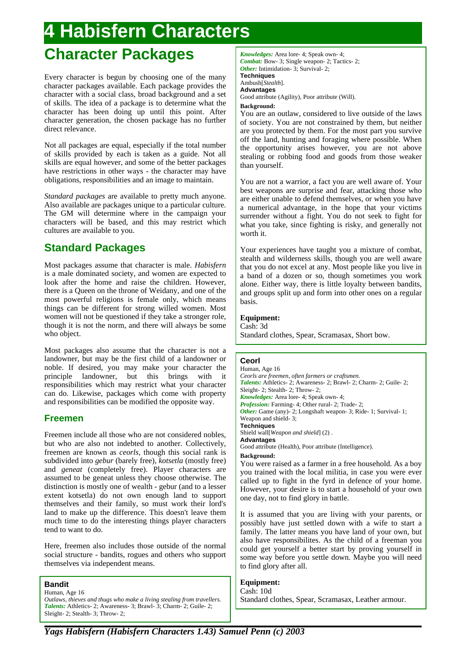## **Character Packages**

Every character is begun by choosing one of the many character packages available. Each package provides the character with a social class, broad background and a set of skills. The idea of a package is to determine what the character has been doing up until this point. After character generation, the chosen package has no further direct relevance.

Not all packages are equal, especially if the total number of skills provided by each is taken as a guide. Not all skills are equal however, and some of the better packages have restrictions in other ways - the character may have obligations, responsibilities and an image to maintain.

*Standard packages* are available to pretty much anyone. Also available are packages unique to a particular culture. The GM will determine where in the campaign your characters will be based, and this may restrict which cultures are available to you.

## **Standard Packages**

Most packages assume that character is male. *Habisfern* is a male dominated society, and women are expected to look after the home and raise the children. However, there is a Queen on the throne of Weidany, and one of the most powerful religions is female only, which means things can be different for strong willed women. Most women will not be questioned if they take a stronger role, though it is not the norm, and there will always be some who object.

Most packages also assume that the character is not a landowner, but may be the first child of a landowner or noble. If desired, you may make your character the principle landowner, but this brings with it responsibilities which may restrict what your character can do. Likewise, packages which come with property and responsibilities can be modified the opposite way.

## **Freemen**

Freemen include all those who are not considered nobles, but who are also not indebted to another. Collectively, freemen are known as *ceorls*, though this social rank is subdivided into *gebur* (barely free), *kotsetla* (mostly free) and *geneat* (completely free). Player characters are assumed to be geneat unless they choose otherwise. The distinction is mostly one of wealth - gebur (and to a lesser extent kotsetla) do not own enough land to support themselves and their family, so must work their lord's land to make up the difference. This doesn't leave them much time to do the interesting things player characters tend to want to do.

Here, freemen also includes those outside of the normal social structure - bandits, rogues and others who support themselves via independent means.

## **Bandit**

Human, Age 16 *Outlaws, thieves and thugs who make a living stealing from travellers. Talents:* Athletics- 2; Awareness- 3; Brawl- 3; Charm- 2; Guile- 2; Sleight- 2; Stealth- 3; Throw- 2;

*Knowledges:* Area lore- 4; Speak own- 4; *Combat:* Bow- 3; Single weapon- 2; Tactics- 2; *Other:* Intimidation- 3: Survival- 2: **Techniques** Ambush[*Stealth*]. **Advantages**

Good attribute (Agility), Poor attribute (Will).

## **Background:**

You are an outlaw, considered to live outside of the laws of society. You are not constrained by them, but neither are you protected by them. For the most part you survive off the land, hunting and foraging where possible. When the opportunity arises however, you are not above stealing or robbing food and goods from those weaker than yourself.

You are not a warrior, a fact you are well aware of. Your best weapons are surprise and fear, attacking those who are either unable to defend themselves, or when you have a numerical advantage, in the hope that your victims surrender without a fight. You do not seek to fight for what you take, since fighting is risky, and generally not worth it.

Your experiences have taught you a mixture of combat, stealth and wilderness skills, though you are well aware that you do not excel at any. Most people like you live in a band of a dozen or so, though sometimes you work alone. Either way, there is little loyalty between bandits, and groups split up and form into other ones on a regular basis.

## **Equipment:**

Cash: 3d Standard clothes, Spear, Scramasax, Short bow.

## **Ceorl**

Human, Age 16 *Ceorls are freemen, often farmers or craftsmen. Talents:* Athletics- 2; Awareness- 2; Brawl- 2; Charm- 2; Guile- 2; Sleight- 2; Stealth- 2; Throw- 2; *Knowledges:* Area lore- 4; Speak own- 4; *Profession:* Farming- 4; Other rural- 2; Trade- 2; *Other:* Game (any)- 2; Longshaft weapon- 3; Ride- 1; Survival- 1; Weapon and shield- 3; **Techniques** Shield wall[*Weapon and shield*] (2) . **Advantages** Good attribute (Health), Poor attribute (Intelligence). **Background:** You were raised as a farmer in a free household. As a boy

you trained with the local militia, in case you were ever called up to fight in the fyrd in defence of your home. However, your desire is to start a household of your own one day, not to find glory in battle.

It is assumed that you are living with your parents, or possibly have just settled down with a wife to start a family. The latter means you have land of your own, but also have responsibilites. As the child of a freeman you could get yourself a better start by proving yourself in some way before you settle down. Maybe you will need to find glory after all.

#### **Equipment:** Cash: 10d

Standard clothes, Spear, Scramasax, Leather armour.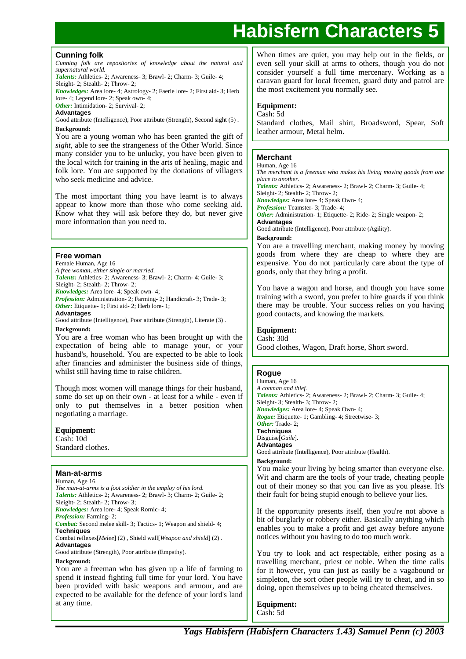## **Cunning folk**

*Cunning folk are repositories of knowledge about the natural and supernatural world.*

*Talents:* Athletics- 2; Awareness- 3; Brawl- 2; Charm- 3; Guile- 4; Sleight- 2: Stealth- 2: Throw- 2:

*Knowledges:* Area lore- 4; Astrology- 2; Faerie lore- 2; First aid- 3; Herb

lore- 4; Legend lore- 2; Speak own- 4; *Other:* Intimidation- 2; Survival- 2;

**Advantages**

Good attribute (Intelligence), Poor attribute (Strength), Second sight (5). **Background:**

You are a young woman who has been granted the gift of *sight*, able to see the strangeness of the Other World. Since many consider you to be unlucky, you have been given to the local witch for training in the arts of healing, magic and folk lore. You are supported by the donations of villagers who seek medicine and advice.

The most important thing you have learnt is to always appear to know more than those who come seeking aid. Know what they will ask before they do, but never give more information than you need to.

## **Free woman**

Female Human, Age 16

*A free woman, either single or married.*

*Talents:* Athletics- 2; Awareness- 3; Brawl- 2; Charm- 4; Guile- 3; Sleight- 2; Stealth- 2; Throw- 2;

*Knowledges:* Area lore- 4; Speak own- 4;

*Profession:* Administration- 2; Farming- 2; Handicraft- 3; Trade- 3; *Other:* Etiquette- 1; First aid- 2; Herb lore- 1;

**Advantages**

Good attribute (Intelligence), Poor attribute (Strength), Literate (3) . **Background:**

You are a free woman who has been brought up with the expectation of being able to manage your, or your husband's, household. You are expected to be able to look after financies and administer the business side of things, whilst still having time to raise children.

Though most women will manage things for their husband, some do set up on their own - at least for a while - even if only to put themselves in a better position when negotiating a marriage.

**Equipment:** Cash: 10d Standard clothes.

## **Man-at-arms**

Human, Age 16 *The man-at-arms is a foot soldier in the employ of his lord. Talents:* Athletics- 2; Awareness- 2; Brawl- 3; Charm- 2; Guile- 2; Sleight- 2; Stealth- 2; Throw- 3; *Knowledges:* Area lore- 4; Speak Rornic- 4; *Profession:* Farming- 2; *Combat:* Second melee skill- 3; Tactics- 1; Weapon and shield- 4; **Techniques** Combat reflexes[*Melee*] (2) , Shield wall[*Weapon and shield*] (2) . **Advantages** Good attribute (Strength), Poor attribute (Empathy). **Background:** You are a freeman who has given up a life of farming to spend it instead fighting full time for your lord. You have been provided with basic weapons and armour, and are expected to be available for the defence of your lord's land at any time.

When times are quiet, you may help out in the fields, or even sell your skill at arms to others, though you do not consider yourself a full time mercenary. Working as a caravan guard for local freemen, guard duty and patrol are the most excitement you normally see.

## **Equipment:**

Cash: 5d

Standard clothes, Mail shirt, Broadsword, Spear, Soft leather armour, Metal helm.

#### **Merchant** Human, Age 16

*The merchant is a freeman who makes his living moving goods from one place to another.*

*Talents:* Athletics- 2; Awareness- 2; Brawl- 2; Charm- 3; Guile- 4; Sleight- 2; Stealth- 2; Throw- 2;

*Knowledges:* Area lore- 4; Speak Own- 4;

*Profession:* Teamster- 3; Trade- 4;

*Other:* Administration- 1; Etiquette- 2; Ride- 2; Single weapon- 2; **Advantages**

Good attribute (Intelligence), Poor attribute (Agility).

### **Background:**

You are a travelling merchant, making money by moving goods from where they are cheap to where they are expensive. You do not particularly care about the type of goods, only that they bring a profit.

You have a wagon and horse, and though you have some training with a sword, you prefer to hire guards if you think there may be trouble. Your success relies on you having good contacts, and knowing the markets.

#### **Equipment:** Cash: 30d

Good clothes, Wagon, Draft horse, Short sword.

## **Rogue**

Human, Age 16 *A conman and thief. Talents:* Athletics- 2; Awareness- 2; Brawl- 2; Charm- 3; Guile- 4; Sleight- 3; Stealth- 3; Throw- 2; *Knowledges:* Area lore- 4; Speak Own- 4; *Rogue:* Etiquette- 1; Gambling- 4; Streetwise- 3; *Other:* Trade- 2; **Techniques** Disguise[*Guile*]. **Advantages** Good attribute (Intelligence), Poor attribute (Health). **Background:** You make your living by being smarter than everyone else. Wit and charm are the tools of your trade, cheating people

out of their money so that you can live as you please. It's their fault for being stupid enough to believe your lies.

If the opportunity presents itself, then you're not above a bit of burglarly or robbery either. Basically anything which enables you to make a profit and get away before anyone notices without you having to do too much work.

You try to look and act respectable, either posing as a travelling merchant, priest or noble. When the time calls for it however, you can just as easily be a vagabound or simpleton, the sort other people will try to cheat, and in so doing, open themselves up to being cheated themselves.

**Equipment:** Cash: 5d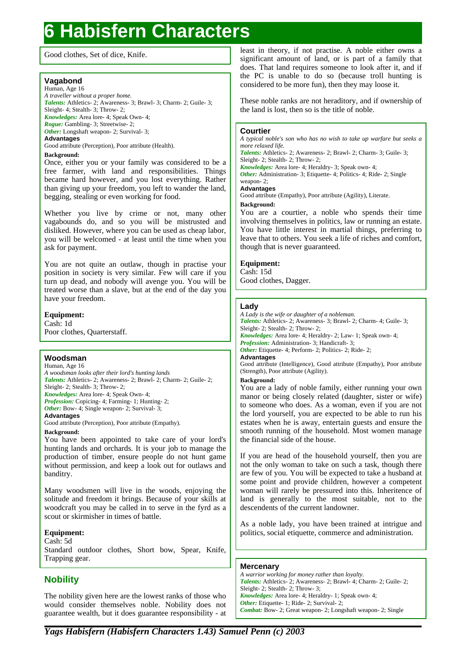Good clothes, Set of dice, Knife.

## **Vagabond**

Human, Age 16 *A traveller without a proper home. Talents:* Athletics- 2; Awareness- 3; Brawl- 3; Charm- 2; Guile- 3; Sleight- 4; Stealth- 3; Throw- 2; *Knowledges:* Area lore- 4; Speak Own- 4; *Rogue:* Gambling- 3; Streetwise- 2; *Other:* Longshaft weapon- 2; Survival- 3; **Advantages**

Good attribute (Perception), Poor attribute (Health).

### **Background:**

Once, either you or your family was considered to be a free farmer, with land and responsibilities. Things became hard however, and you lost everything. Rather than giving up your freedom, you left to wander the land, begging, stealing or even working for food.

Whether you live by crime or not, many other vagabounds do, and so you will be mistrusted and disliked. However, where you can be used as cheap labor, you will be welcomed - at least until the time when you ask for payment.

You are not quite an outlaw, though in practise your position in society is very similar. Few will care if you turn up dead, and nobody will avenge you. You will be treated worse than a slave, but at the end of the day you have your freedom.

**Equipment:** Cash: 1d Poor clothes, Quarterstaff.

## **Woodsman**

Human, Age 16 *A woodsman looks after their lord's hunting lands Talents:* Athletics- 2; Awareness- 2; Brawl- 2; Charm- 2; Guile- 2; Sleight- 2; Stealth- 3; Throw- 2; *Knowledges:* Area lore- 4; Speak Own- 4; *Profession:* Copicing- 4; Farming- 1; Hunting- 2; *Other:* Bow- 4; Single weapon- 2; Survival- 3; **Advantages** Good attribute (Perception), Poor attribute (Empathy).

## **Background:**

You have been appointed to take care of your lord's hunting lands and orchards. It is your job to manage the production of timber, ensure people do not hunt game without permission, and keep a look out for outlaws and banditry.

Many woodsmen will live in the woods, enjoying the solitude and freedom it brings. Because of your skills at woodcraft you may be called in to serve in the fyrd as a scout or skirmisher in times of battle.

## **Equipment:**

Cash: 5d Standard outdoor clothes, Short bow, Spear, Knife, Trapping gear.

## **Nobility**

The nobility given here are the lowest ranks of those who would consider themselves noble. Nobility does not guarantee wealth, but it does guarantee responsibility - at

least in theory, if not practise. A noble either owns a significant amount of land, or is part of a family that does. That land requires someone to look after it, and if the PC is unable to do so (because troll hunting is considered to be more fun), then they may loose it.

These noble ranks are not heraditory, and if ownership of the land is lost, then so is the title of noble.

## **Courtier**

*A typical noble's son who has no wish to take up warfare but seeks a more relaxed life.*

*Talents:* Athletics- 2; Awareness- 2; Brawl- 2; Charm- 3; Guile- 3; Sleight- 2; Stealth- 2; Throw- 2;

*Knowledges:* Area lore- 4; Heraldry- 3; Speak own- 4; *Other:* Administration- 3; Etiquette- 4; Politics- 4; Ride- 2; Single

#### weapon- 2; **Advantages**

Good attribute (Empathy), Poor attribute (Agility), Literate.

**Background:**

You are a courtier, a noble who spends their time involving themselves in politics, law or running an estate. You have little interest in martial things, preferring to leave that to others. You seek a life of riches and comfort, though that is never guaranteed.

## **Equipment:**

Cash: 15d Good clothes, Dagger.

## **Lady**

*A Lady is the wife or daughter of a nobleman. Talents:* Athletics- 2; Awareness- 3; Brawl- 2; Charm- 4; Guile- 3; Sleight- 2; Stealth- 2; Throw- 2; *Knowledges:* Area lore- 4; Heraldry- 2; Law- 1; Speak own- 4; *Profession:* Administration- 3; Handicraft- 3; Other: Etiquette- 4; Perform- 2; Politics- 2; Ride- 2; **Advantages** Good attribute (Intelligence), Good attribute (Empathy), Poor attribute (Strength), Poor attribute (Agility). **Background:** You are a lady of noble family, either running your own manor or being closely related (daughter, sister or wife) to someone who does. As a woman, even if you are not the lord yourself, you are expected to be able to run his estates when he is away, entertain guests and ensure the smooth running of the household. Most women manage the financial side of the house.

If you are head of the household yourself, then you are not the only woman to take on such a task, though there are few of you. You will be expected to take a husband at some point and provide children, however a competent woman will rarely be pressured into this. Inheritence of land is generally to the most suitable, not to the descendents of the current landowner.

As a noble lady, you have been trained at intrigue and politics, social etiquette, commerce and administration.

## **Mercenary**

*A warrior working for money rather than loyalty. Talents:* Athletics- 2; Awareness- 2; Brawl- 4; Charm- 2; Guile- 2; Sleight- 2; Stealth- 2; Throw- 3; *Knowledges:* Area lore- 4; Heraldry- 1; Speak own- 4; *Other:* Etiquette- 1; Ride- 2; Survival- 2; *Combat:* Bow- 2; Great weapon- 2; Longshaft weapon- 2; Single

*Yags Habisfern (Habisfern Characters 1.43) Samuel Penn (c) 2003*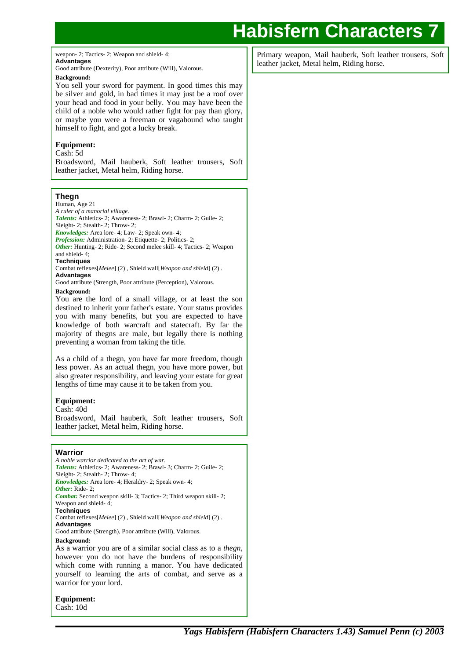weapon- 2; Tactics- 2; Weapon and shield- 4; **Advantages**

Good attribute (Dexterity), Poor attribute (Will), Valorous.

### **Background:**

You sell your sword for payment. In good times this may be silver and gold, in bad times it may just be a roof over your head and food in your belly. You may have been the child of a noble who would rather fight for pay than glory, or maybe you were a freeman or vagabound who taught himself to fight, and got a lucky break.

## **Equipment:**

Cash: 5d

Broadsword, Mail hauberk, Soft leather trousers, Soft leather jacket, Metal helm, Riding horse.

## **Thegn**

Human, Age 21

*A ruler of a manorial village. Talents:* Athletics- 2; Awareness- 2; Brawl- 2; Charm- 2; Guile- 2;

Sleight- 2; Stealth- 2; Throw- 2;

*Knowledges:* Area lore- 4; Law- 2; Speak own- 4;

*Profession:* Administration- 2; Etiquette- 2; Politics- 2;

*Other:* Hunting- 2; Ride- 2; Second melee skill- 4; Tactics- 2; Weapon and shield- 4;

### **Techniques**

Combat reflexes[*Melee*] (2) , Shield wall[*Weapon and shield*] (2) . **Advantages**

Good attribute (Strength, Poor attribute (Perception), Valorous.

## **Background:**

You are the lord of a small village, or at least the son destined to inherit your father's estate. Your status provides you with many benefits, but you are expected to have knowledge of both warcraft and statecraft. By far the majority of thegns are male, but legally there is nothing preventing a woman from taking the title.

As a child of a thegn, you have far more freedom, though less power. As an actual thegn, you have more power, but also greater responsibility, and leaving your estate for great lengths of time may cause it to be taken from you.

## **Equipment:**

Cash: 40d

Broadsword, Mail hauberk, Soft leather trousers, Soft leather jacket, Metal helm, Riding horse.

## **Warrior**

*A noble warrior dedicated to the art of war. Talents:* Athletics- 2; Awareness- 2; Brawl- 3; Charm- 2; Guile- 2; Sleight- 2; Stealth- 2; Throw- 4; *Knowledges:* Area lore- 4; Heraldry- 2; Speak own- 4; Other: Ride-2; *Combat:* Second weapon skill- 3; Tactics- 2; Third weapon skill- 2; Weapon and shield- 4; **Techniques** Combat reflexes[*Melee*] (2) , Shield wall[*Weapon and shield*] (2) . **Advantages** Good attribute (Strength), Poor attribute (Will), Valorous. **Background:** As a warrior you are of a similar social class as to a *thegn*, however you do not have the burdens of responsibility which come with running a manor. You have dedicated yourself to learning the arts of combat, and serve as a warrior for your lord.

**Equipment:**

Primary weapon, Mail hauberk, Soft leather trousers, Soft leather jacket, Metal helm, Riding horse.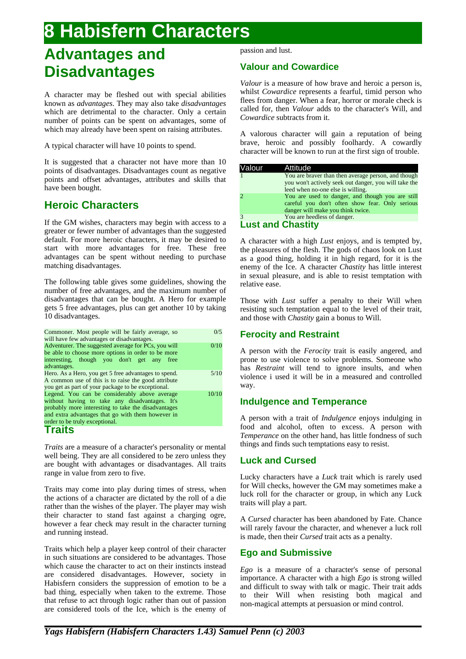## **Advantages and Disadvantages**

A character may be fleshed out with special abilities known as *advantages*. They may also take *disadvantages* which are detrimental to the character. Only a certain number of points can be spent on advantages, some of which may already have been spent on raising attributes.

A typical character will have 10 points to spend.

It is suggested that a character not have more than 10 points of disadvantages. Disadvantages count as negative points and offset advantages, attributes and skills that have been bought.

## **Heroic Characters**

If the GM wishes, characters may begin with access to a greater or fewer number of advantages than the suggested default. For more heroic characters, it may be desired to start with more advantages for free. These free advantages can be spent without needing to purchase matching disadvantages.

The following table gives some guidelines, showing the number of free advantages, and the maximum number of disadvantages that can be bought. A Hero for example gets 5 free advantages, plus can get another 10 by taking 10 disadvantages.

| Commoner. Most people will be fairly average, so<br>will have few advantages or disadvantages.                                                                                                                                                | 0/5   |
|-----------------------------------------------------------------------------------------------------------------------------------------------------------------------------------------------------------------------------------------------|-------|
| Adventurer. The suggested average for PCs, you will<br>be able to choose more options in order to be more<br>interesting, though you don't get any free<br>advantages.                                                                        | 0/10  |
| Hero. As a Hero, you get 5 free advantages to spend.<br>A common use of this is to raise the good attribute<br>you get as part of your package to be exceptional.                                                                             | 5/10  |
| Legend. You can be considerably above average<br>without having to take any disadvantages. It's<br>probably more interesting to take the disadvantages<br>and extra advantages that go with them however in<br>order to be truly exceptional. | 10/10 |
| <b>Traits</b>                                                                                                                                                                                                                                 |       |

*Traits* are a measure of a character's personality or mental well being. They are all considered to be zero unless they are bought with advantages or disadvantages. All traits range in value from zero to five.

Traits may come into play during times of stress, when the actions of a character are dictated by the roll of a die rather than the wishes of the player. The player may wish their character to stand fast against a charging ogre, however a fear check may result in the character turning and running instead.

Traits which help a player keep control of their character in such situations are considered to be advantages. Those which cause the character to act on their instincts instead are considered disadvantages. However, society in Habisfern considers the suppression of emotion to be a bad thing, especially when taken to the extreme. Those that refuse to act through logic rather than out of passion are considered tools of the Ice, which is the enemy of passion and lust.

## **Valour and Cowardice**

*Valour* is a measure of how brave and heroic a person is, whilst *Cowardice* represents a fearful, timid person who flees from danger. When a fear, horror or morale check is called for, then *Valour* adds to the character's Will, and *Cowardice* subtracts from it.

A valorous character will gain a reputation of being brave, heroic and possibly foolhardy. A cowardly character will be known to run at the first sign of trouble.

| Valour | Attitude                                                                                                                                          |
|--------|---------------------------------------------------------------------------------------------------------------------------------------------------|
|        | You are braver than then average person, and though<br>you won't actively seek out danger, you will take the<br>leed when no-one else is willing. |
|        | You are used to danger, and though you are still<br>careful you don't often show fear. Only serious<br>danger will make you think twice.          |
|        | You are heedless of danger.                                                                                                                       |
|        | $\mathbf{A}$ . The state of $\mathbf{A}$ is a state of $\mathbf{A}$                                                                               |

## **Lust and Chastity**

A character with a high *Lust* enjoys, and is tempted by, the pleasures of the flesh. The gods of chaos look on Lust as a good thing, holding it in high regard, for it is the enemy of the Ice. A character *Chastity* has little interest in sexual pleasure, and is able to resist temptation with relative ease.

Those with *Lust* suffer a penalty to their Will when resisting such temptation equal to the level of their trait, and those with *Chastity* gain a bonus to Will.

## **Ferocity and Restraint**

A person with the *Ferocity* trait is easily angered, and prone to use violence to solve problems. Someone who has *Restraint* will tend to ignore insults, and when violence i used it will be in a measured and controlled way.

## **Indulgence and Temperance**

A person with a trait of *Indulgence* enjoys indulging in food and alcohol, often to excess. A person with *Temperance* on the other hand, has little fondness of such things and finds such temptations easy to resist.

## **Luck and Cursed**

Lucky characters have a *Luck* trait which is rarely used for Will checks, however the GM may sometimes make a luck roll for the character or group, in which any Luck traits will play a part.

A *Cursed* character has been abandoned by Fate. Chance will rarely favour the character, and whenever a luck roll is made, then their *Cursed* trait acts as a penalty.

## **Ego and Submissive**

*Ego* is a measure of a character's sense of personal importance. A character with a high *Ego* is strong willed and difficult to sway with talk or magic. Their trait adds to their Will when resisting both magical and non-magical attempts at persuasion or mind control.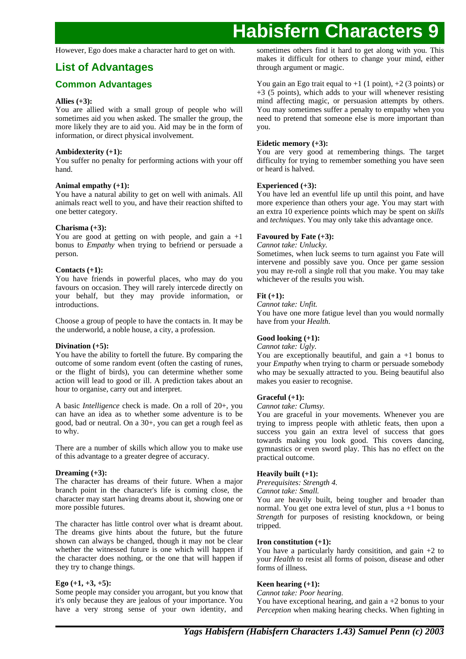However, Ego does make a character hard to get on with.

## **List of Advantages**

## **Common Advantages**

## **Allies (+3):**

You are allied with a small group of people who will sometimes aid you when asked. The smaller the group, the more likely they are to aid you. Aid may be in the form of information, or direct physical involvement.

## **Ambidexterity (+1):**

You suffer no penalty for performing actions with your off hand.

## **Animal empathy (+1):**

You have a natural ability to get on well with animals. All animals react well to you, and have their reaction shifted to one better category.

## **Charisma (+3):**

You are good at getting on with people, and gain  $a +1$ bonus to *Empathy* when trying to befriend or persuade a person.

## **Contacts (+1):**

You have friends in powerful places, who may do you favours on occasion. They will rarely intercede directly on your behalf, but they may provide information, or introductions.

Choose a group of people to have the contacts in. It may be the underworld, a noble house, a city, a profession.

## **Divination (+5):**

You have the ability to fortell the future. By comparing the outcome of some random event (often the casting of runes, or the flight of birds), you can determine whether some action will lead to good or ill. A prediction takes about an hour to organise, carry out and interpret.

A basic *Intelligence* check is made. On a roll of 20+, you can have an idea as to whether some adventure is to be good, bad or neutral. On a 30+, you can get a rough feel as to why.

There are a number of skills which allow you to make use of this advantage to a greater degree of accuracy.

## **Dreaming (+3):**

The character has dreams of their future. When a major branch point in the character's life is coming close, the character may start having dreams about it, showing one or more possible futures.

The character has little control over what is dreamt about. The dreams give hints about the future, but the future shown can always be changed, though it may not be clear whether the witnessed future is one which will happen if the character does nothing, or the one that will happen if they try to change things.

## **Ego (+1, +3, +5):**

Some people may consider you arrogant, but you know that it's only because they are jealous of your importance. You have a very strong sense of your own identity, and sometimes others find it hard to get along with you. This makes it difficult for others to change your mind, either through argument or magic.

You gain an Ego trait equal to  $+1$  (1 point),  $+2$  (3 points) or  $+3$  (5 points), which adds to your will whenever resisting mind affecting magic, or persuasion attempts by others. You may sometimes suffer a penalty to empathy when you need to pretend that someone else is more important than you.

## **Eidetic memory (+3):**

You are very good at remembering things. The target difficulty for trying to remember something you have seen or heard is halved.

## **Experienced (+3):**

You have led an eventful life up until this point, and have more experience than others your age. You may start with an extra 10 experience points which may be spent on *skills* and *techniques*. You may only take this advantage once.

## **Favoured by Fate (+3):**

## *Cannot take: Unlucky.*

Sometimes, when luck seems to turn against you Fate will intervene and possibly save you. Once per game session you may re-roll a single roll that you make. You may take whichever of the results you wish.

## **Fit (+1):**

*Cannot take: Unfit.* You have one more fatigue level than you would normally have from your *Health*.

## **Good looking (+1):**

*Cannot take: Ugly.*

You are exceptionally beautiful, and gain  $a + 1$  bonus to your *Empathy* when trying to charm or persuade somebody who may be sexually attracted to you. Being beautiful also makes you easier to recognise.

## **Graceful (+1):**

*Cannot take: Clumsy.*

You are graceful in your movements. Whenever you are trying to impress people with athletic feats, then upon a success you gain an extra level of success that goes towards making you look good. This covers dancing, gymnastics or even sword play. This has no effect on the practical outcome.

## **Heavily built (+1):**

*Prerequisites: Strength 4. Cannot take: Small.*

You are heavily built, being tougher and broader than normal. You get one extra level of *stun*, plus a +1 bonus to *Strength* for purposes of resisting knockdown, or being tripped.

## **Iron constitution (+1):**

You have a particularly hardy consitition, and gain  $+2$  to your *Health* to resist all forms of poison, disease and other forms of illness.

## **Keen hearing (+1):**

*Cannot take: Poor hearing.*

You have exceptional hearing, and gain  $a + 2$  bonus to your *Perception* when making hearing checks. When fighting in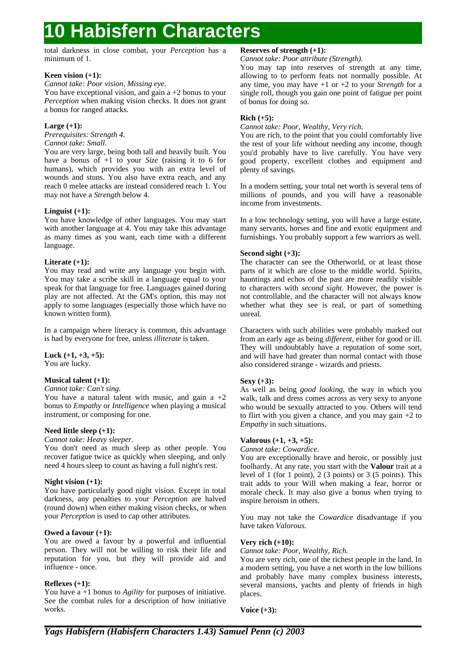total darkness in close combat, your *Perception* has a minimum of 1.

## **Keen vision (+1):**

## *Cannot take: Poor vision, Missing eye.*

You have exceptional vision, and gain  $a + 2$  bonus to your *Perception* when making vision checks. It does not grant a bonus for ranged attacks.

## **Large (+1):**

*Prerequisites: Strength 4. Cannot take: Small.*

You are very large, being both tall and heavily built. You have a bonus of +1 to your *Size* (raising it to 6 for humans), which provides you with an extra level of wounds and stuns. You also have extra reach, and any reach 0 melee attacks are instead considered reach 1. You may not have a *Strength* below 4.

## **Linguist (+1):**

You have knowledge of other languages. You may start with another language at 4. You may take this advantage as many times as you want, each time with a different language.

## **Literate (+1):**

You may read and write any language you begin with. You may take a scribe skill in a language equal to your speak for that language for free. Languages gained during play are not affected. At the GM's option, this may not apply to some languages (especially those which have no known written form).

In a campaign where literacy is common, this advantage is had by everyone for free, unless *illiterate* is taken.

## **Luck (+1, +3, +5):**

You are lucky.

## **Musical talent (+1):**

*Cannot take: Can't sing.*

You have a natural talent with music, and gain  $a +2$ bonus to *Empathy* or *Intelligence* when playing a musical instrument, or composing for one.

## **Need little sleep (+1):**

## *Cannot take: Heavy sleeper.*

You don't need as much sleep as other people. You recover fatigue twice as quickly when sleeping, and only need 4 hours sleep to count as having a full night's rest.

## **Night vision (+1):**

You have particularly good night vision. Except in total darkness, any penalties to your *Perception* are halved (round down) when either making vision checks, or when your *Perception* is used to cap other attributes.

## **Owed a favour (+1):**

You are owed a favour by a powerful and influential person. They will not be willing to risk their life and reputation for you, but they will provide aid and influence - once.

## **Reflexes (+1):**

You have a +1 bonus to *Agility* for purposes of initiative. See the combat rules for a description of how initiative works.

## **Reserves of strength (+1):**

*Cannot take: Poor attribute (Strength).*

You may tap into reserves of strength at any time, allowing to to perform feats not normally possible. At any time, you may have +1 or +2 to your *Strength* for a single roll, though you gain one point of fatigue per point of bonus for doing so.

## **Rich (+5):**

*Cannot take: Poor, Wealthy, Very rich.*

You are rich, to the point that you could comfortably live the rest of your life without needing any income, though you'd probably have to live carefully. You have very good property, excellent clothes and equipment and plenty of savings.

In a modern setting, your total net worth is several tens of millions of pounds, and you will have a reasonable income from investments.

In a low technology setting, you will have a large estate, many servants, horses and fine and exotic equipment and furnishings. You probably support a few warriors as well.

## **Second sight (+3):**

The character can see the Otherworld, or at least those parts of it which are close to the middle world. Spirits, hauntings and echos of the past are more readily visible to characters with *second sight*. However, the power is not controllable, and the character will not always know whether what they see is real, or part of something unreal.

Characters with such abilities were probably marked out from an early age as being *different*, either for good or ill. They will undoubtably have a reputation of some sort, and will have had greater than normal contact with those also considered strange - wizards and priests.

## **Sexy (+3):**

As well as being *good looking*, the way in which you walk, talk and dress comes across as very sexy to anyone who would be sexually attracted to you. Others will tend to flirt with you given a chance, and you may gain +2 to *Empathy* in such situations.

## **Valorous (+1, +3, +5):**

*Cannot take: Cowardice.*

You are exceptionally brave and heroic, or possibly just foolhardy. At any rate, you start with the **Valour** trait at a level of 1 (for 1 point), 2 (3 points) or 3 (5 points). This trait adds to your Will when making a fear, horror or morale check. It may also give a bonus when trying to inspire heroism in others.

You may not take the *Cowardice* disadvantage if you have taken *Valorous*.

## **Very rich (+10):**

*Cannot take: Poor, Wealthy, Rich.*

You are very rich, one of the richest people in the land. In a modern setting, you have a net worth in the low billions and probably have many complex business interests, several mansions, yachts and plenty of friends in high places.

**Voice (+3):**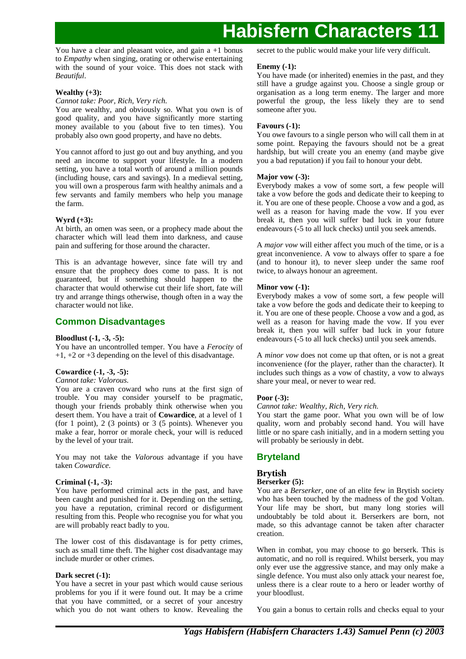You have a clear and pleasant voice, and gain  $a + 1$  bonus to *Empathy* when singing, orating or otherwise entertaining with the sound of your voice. This does not stack with *Beautiful*.

## **Wealthy (+3):**

#### *Cannot take: Poor, Rich, Very rich.*

You are wealthy, and obviously so. What you own is of good quality, and you have significantly more starting money available to you (about five to ten times). You probably also own good property, and have no debts.

You cannot afford to just go out and buy anything, and you need an income to support your lifestyle. In a modern setting, you have a total worth of around a million pounds (including house, cars and savings). In a medieval setting, you will own a prosperous farm with healthy animals and a few servants and family members who help you manage the farm.

## **Wyrd (+3):**

At birth, an omen was seen, or a prophecy made about the character which will lead them into darkness, and cause pain and suffering for those around the character.

This is an advantage however, since fate will try and ensure that the prophecy does come to pass. It is not guaranteed, but if something should happen to the character that would otherwise cut their life short, fate will try and arrange things otherwise, though often in a way the character would not like.

## **Common Disadvantages**

### **Bloodlust (-1, -3, -5):**

You have an uncontrolled temper. You have a *Ferocity* of  $+1$ ,  $+2$  or  $+3$  depending on the level of this disadvantage.

## **Cowardice (-1, -3, -5):**

## *Cannot take: Valorous.*

You are a craven coward who runs at the first sign of trouble. You may consider yourself to be pragmatic, though your friends probably think otherwise when you desert them. You have a trait of **Cowardice**, at a level of 1 (for 1 point), 2 (3 points) or 3 (5 points). Whenever you make a fear, horror or morale check, your will is reduced by the level of your trait.

You may not take the *Valorous* advantage if you have taken *Cowardice*.

### **Criminal (-1, -3):**

You have performed criminal acts in the past, and have been caught and punished for it. Depending on the setting, you have a reputation, criminal record or disfigurment resulting from this. People who recognise you for what you are will probably react badly to you.

The lower cost of this disdavantage is for petty crimes, such as small time theft. The higher cost disadvantage may include murder or other crimes.

## **Dark secret (-1):**

You have a secret in your past which would cause serious problems for you if it were found out. It may be a crime that you have committed, or a secret of your ancestry which you do not want others to know. Revealing the secret to the public would make your life very difficult.

### **Enemy (-1):**

You have made (or inherited) enemies in the past, and they still have a grudge against you. Choose a single group or organisation as a long term enemy. The larger and more powerful the group, the less likely they are to send someone after you.

## **Favours (-1):**

You owe favours to a single person who will call them in at some point. Repaying the favours should not be a great hardship, but will create you an enemy (and maybe give you a bad reputation) if you fail to honour your debt.

## **Major vow (-3):**

Everybody makes a vow of some sort, a few people will take a vow before the gods and dedicate their to keeping to it. You are one of these people. Choose a vow and a god, as well as a reason for having made the vow. If you ever break it, then you will suffer bad luck in your future endeavours (-5 to all luck checks) until you seek amends.

A *major vow* will either affect you much of the time, or is a great inconvenience. A vow to always offer to spare a foe (and to honour it), to never sleep under the same roof twice, to always honour an agreement.

## **Minor vow (-1):**

Everybody makes a vow of some sort, a few people will take a vow before the gods and dedicate their to keeping to it. You are one of these people. Choose a vow and a god, as well as a reason for having made the vow. If you ever break it, then you will suffer bad luck in your future endeavours (-5 to all luck checks) until you seek amends.

A *minor vow* does not come up that often, or is not a great inconvenience (for the player, rather than the character). It includes such things as a vow of chastity, a vow to always share your meal, or never to wear red.

### **Poor (-3):**

## *Cannot take: Wealthy, Rich, Very rich.*

You start the game poor. What you own will be of low quality, worn and probably second hand. You will have little or no spare cash initially, and in a modern setting you will probably be seriously in debt.

## **Bryteland**

## **Brytish**

### **Berserker (5):**

You are a *Berserker*, one of an elite few in Brytish society who has been touched by the madness of the god Voltan. Your life may be short, but many long stories will undoubtably be told about it. Berserkers are born, not made, so this advantage cannot be taken after character creation.

When in combat, you may choose to go berserk. This is automatic, and no roll is required. Whilst berserk, you may only ever use the aggressive stance, and may only make a single defence. You must also only attack your nearest foe, unless there is a clear route to a hero or leader worthy of your bloodlust.

You gain a bonus to certain rolls and checks equal to your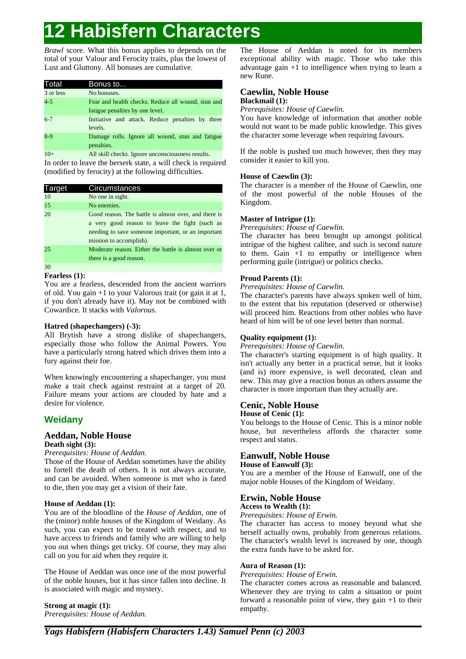*Brawl* score. What this bonus applies to depends on the total of your Valour and Ferocity traits, plus the lowest of Lust and Gluttony. All bonuses are cumulative.

| Total     | Bonus to                                           |
|-----------|----------------------------------------------------|
| 3 or less | No bonuses.                                        |
| $4 - 5$   | Fear and health checks. Reduce all wound, stun and |
|           | fatigue penalties by one level.                    |
| $6 - 7$   | Initiative and attack. Reduce penalties by three   |
|           | levels.                                            |
| $8-9$     | Damage rolls. Ignore all wound, stun and fatigue   |
|           | penalties.                                         |
| $10+$     | All skill checks. Ignore unconsciousness results.  |

In order to leave the berserk state, a will check is required (modified by ferocity) at the following difficulties.

| <b>Target</b> | Circumstances                                                                                                                                                                           |
|---------------|-----------------------------------------------------------------------------------------------------------------------------------------------------------------------------------------|
| 10            | No one in sight.                                                                                                                                                                        |
| 15            | No enemies.                                                                                                                                                                             |
| 20            | Good reason. The battle is almost over, and there is<br>a very good reason to leave the fight (such as<br>needing to save someone important, or an important<br>mission to accomplish). |
| 25            | Moderate reason. Either the battle is almost over or<br>there is a good reason.                                                                                                         |
| 30            |                                                                                                                                                                                         |

## **Fearless (1):**

You are a fearless, descended from the ancient warriors of old. You gain +1 to your Valorous trait (or gain it at 1, if you don't already have it). May not be combined with Cowardice. It stacks with *Valorous*.

## **Hatred (shapechangers) (-3):**

All Brytish have a strong dislike of shapechangers, especially those who follow the Animal Powers. You have a particularly strong hatred which drives them into a fury against their foe.

When knowingly encountering a shapechanger, you must make a trait check against restraint at a target of 20. Failure means your actions are clouded by hate and a desire for violence.

## **Weidany**

## **Aeddan, Noble House Death sight (3):**

## *Prerequisites: House of Aeddan.*

Those of the House of Aeddan sometimes have the ability to fortell the death of others. It is not always accurate, and can be avoided. When someone is met who is fated to die, then you may get a vision of their fate.

## **House of Aeddan (1):**

You are of the bloodline of the *House of Aeddan*, one of the (minor) noble houses of the Kingdom of Weidany. As such, you can expect to be treated with respect, and to have access to friends and family who are willing to help you out when things get tricky. Of course, they may also call on you for aid when they require it.

The House of Aeddan was once one of the most powerful of the noble houses, but it has since fallen into decline. It is associated with magic and mystery.

**Strong at magic (1):** *Prerequisites: House of Aeddan.*

The House of Aeddan is noted for its members exceptional ability with magic. Those who take this advantage gain +1 to intelligence when trying to learn a new Rune.

### **Caewlin, Noble House Blackmail (1):**

*Prerequisites: House of Caewlin.*

You have knowledge of information that another noble would not want to be made public knowledge. This gives the character some leverage when requiring favours.

If the noble is pushed too much however, then they may consider it easier to kill you.

## **House of Caewlin (3):**

The character is a member of the House of Caewlin, one of the most powerful of the noble Houses of the Kingdom.

## **Master of Intrigue (1):**

*Prerequisites: House of Caewlin.*

The character has been brought up amongst political intrigue of the highest calibre, and such is second nature to them. Gain +1 to empathy or intelligence when performing guile (intrigue) or politics checks.

## **Proud Parents (1):**

*Prerequisites: House of Caewlin.*

The character's parents have always spoken well of him, to the extent that his reputation (deserved or otherwise) will proceed him. Reactions from other nobles who have heard of him will be of one level better than normal.

## **Quality equipment (1):**

*Prerequisites: House of Caewlin.*

The character's starting equipment is of high quality. It isn't actually any better in a practical sense, but it looks (and is) more expensive, is well decorated, clean and new. This may give a reaction bonus as others assume the character is more important than they actually are.

## **Cenic, Noble House House of Cenic (1):**

You belongs to the House of Cenic. This is a minor noble house, but nevertheless affords the character some respect and status.

## **Eanwulf, Noble House**

## **House of Eanwulf (3):**

You are a member of the House of Eanwulf, one of the major noble Houses of the Kingdom of Weidany.

## **Erwin, Noble House**

## **Access to Wealth (1):**

*Prerequisites: House of Erwin.*

The character has access to money beyond what she herself actually owns, probably from generous relations. The character's wealth level is increased by one, though the extra funds have to be asked for.

## **Aura of Reason (1):**

## *Prerequisites: House of Erwin.*

The character comes across as reasonable and balanced. Whenever they are trying to calm a situation or point forward a reasonable point of view, they gain +1 to their empathy.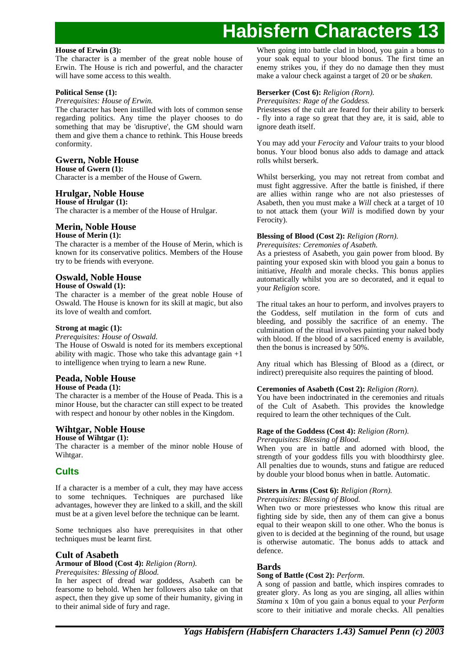## **House of Erwin (3):**

The character is a member of the great noble house of Erwin. The House is rich and powerful, and the character will have some access to this wealth.

## **Political Sense (1):**

## *Prerequisites: House of Erwin.*

The character has been instilled with lots of common sense regarding politics. Any time the player chooses to do something that may be 'disruptive', the GM should warn them and give them a chance to rethink. This House breeds conformity.

## **Gwern, Noble House**

**House of Gwern (1):** Character is a member of the House of Gwern.

## **Hrulgar, Noble House**

**House of Hrulgar (1):** The character is a member of the House of Hrulgar.

## **Merin, Noble House**

## **House of Merin (1):**

The character is a member of the House of Merin, which is known for its conservative politics. Members of the House try to be friends with everyone.

## **Oswald, Noble House**

## **House of Oswald (1):**

The character is a member of the great noble House of Oswald. The House is known for its skill at magic, but also its love of wealth and comfort.

## **Strong at magic (1):**

### *Prerequisites: House of Oswald.*

The House of Oswald is noted for its members exceptional ability with magic. Those who take this advantage gain  $+1$ to intelligence when trying to learn a new Rune.

#### **Peada, Noble House House of Peada (1):**

The character is a member of the House of Peada. This is a minor House, but the character can still expect to be treated with respect and honour by other nobles in the Kingdom.

### **Wihtgar, Noble House House of Wihtgar (1):**

The character is a member of the minor noble House of Wihtgar.

## **Cults**

If a character is a member of a cult, they may have access to some techniques. Techniques are purchased like advantages, however they are linked to a skill, and the skill must be at a given level before the technique can be learnt.

Some techniques also have prerequisites in that other techniques must be learnt first.

## **Cult of Asabeth**

## **Armour of Blood (Cost 4):** *Religion (Rorn).*

*Prerequisites: Blessing of Blood.*

In her aspect of dread war goddess, Asabeth can be fearsome to behold. When her followers also take on that aspect, then they give up some of their humanity, giving in to their animal side of fury and rage.

When going into battle clad in blood, you gain a bonus to your soak equal to your blood bonus. The first time an enemy strikes you, if they do no damage then they must make a valour check against a target of 20 or be *shaken*.

## **Berserker (Cost 6):** *Religion (Rorn).*

*Prerequisites: Rage of the Goddess.*

Priestesses of the cult are feared for their ability to berserk - fly into a rage so great that they are, it is said, able to ignore death itself.

You may add your *Ferocity* and *Valour* traits to your blood bonus. Your blood bonus also adds to damage and attack rolls whilst berserk.

Whilst berserking, you may not retreat from combat and must fight aggressive. After the battle is finished, if there are allies within range who are not also priestesses of Asabeth, then you must make a *Will* check at a target of 10 to not attack them (your *Will* is modified down by your Ferocity).

## **Blessing of Blood (Cost 2):** *Religion (Rorn).*

### *Prerequisites: Ceremonies of Asabeth.*

As a priestess of Asabeth, you gain power from blood. By painting your exposed skin with blood you gain a bonus to initiative, *Health* and morale checks. This bonus applies automatically whilst you are so decorated, and it equal to your *Religion* score.

The ritual takes an hour to perform, and involves prayers to the Goddess, self mutilation in the form of cuts and bleeding, and possibly the sacrifice of an enemy. The culmination of the ritual involves painting your naked body with blood. If the blood of a sacrificed enemy is available, then the bonus is increased by 50%.

Any ritual which has Blessing of Blood as a (direct, or indirect) prerequisite also requires the painting of blood.

## **Ceremonies of Asabeth (Cost 2):** *Religion (Rorn).*

You have been indoctrinated in the ceremonies and rituals of the Cult of Asabeth. This provides the knowledge required to learn the other techniques of the Cult.

## **Rage of the Goddess (Cost 4):** *Religion (Rorn).*

## *Prerequisites: Blessing of Blood.*

When you are in battle and adorned with blood, the strength of your goddess fills you with bloodthirsty glee. All penalties due to wounds, stuns and fatigue are reduced by double your blood bonus when in battle. Automatic.

## **Sisters in Arms (Cost 6):** *Religion (Rorn).*

*Prerequisites: Blessing of Blood.*

When two or more priestesses who know this ritual are fighting side by side, then any of them can give a bonus equal to their weapon skill to one other. Who the bonus is given to is decided at the beginning of the round, but usage is otherwise automatic. The bonus adds to attack and defence.

## **Bards**

## **Song of Battle (Cost 2):** *Perform.*

A song of passion and battle, which inspires comrades to greater glory. As long as you are singing, all allies within *Stamina* x 10m of you gain a bonus equal to your *Perform* score to their initiative and morale checks. All penalties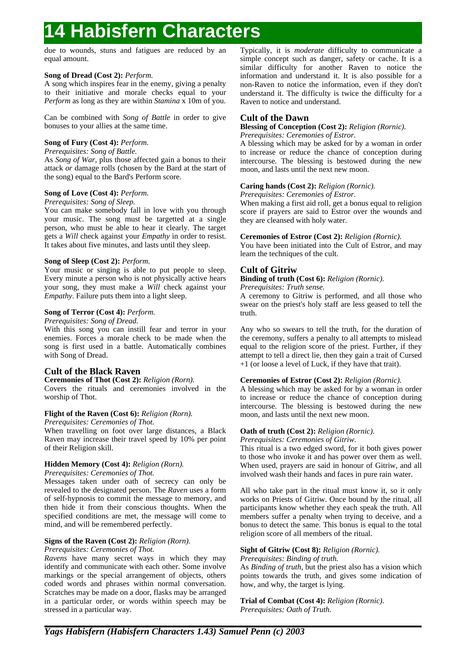due to wounds, stuns and fatigues are reduced by an equal amount.

## **Song of Dread (Cost 2):** *Perform.*

A song which inspires fear in the enemy, giving a penalty to their initiative and morale checks equal to your *Perform* as long as they are within *Stamina* x 10m of you.

Can be combined with *Song of Battle* in order to give bonuses to your allies at the same time.

## **Song of Fury (Cost 4):** *Perform.*

## *Prerequisites: Song of Battle.*

As *Song of War*, plus those affected gain a bonus to their attack *or* damage rolls (chosen by the Bard at the start of the song) equal to the Bard's Perform score.

## **Song of Love (Cost 4):** *Perform.*

### *Prerequisites: Song of Sleep.*

You can make somebody fall in love with you through your music. The song must be targetted at a single person, who must be able to hear it clearly. The target gets a *Will* check against your *Empathy* in order to resist. It takes about five minutes, and lasts until they sleep.

## **Song of Sleep (Cost 2):** *Perform.*

Your music or singing is able to put people to sleep. Every minute a person who is not physically active hears your song, they must make a *Will* check against your *Empathy*. Failure puts them into a light sleep.

## **Song of Terror (Cost 4):** *Perform.*

## *Prerequisites: Song of Dread.*

With this song you can instill fear and terror in your enemies. Forces a morale check to be made when the song is first used in a battle. Automatically combines with Song of Dread.

## **Cult of the Black Raven**

## **Ceremonies of Thot (Cost 2):** *Religion (Rorn).*

Covers the rituals and ceremonies involved in the worship of Thot.

## **Flight of the Raven (Cost 6):** *Religion (Rorn).*

*Prerequisites: Ceremonies of Thot.*

When travelling on foot over large distances, a Black Raven may increase their travel speed by 10% per point of their Religion skill.

## **Hidden Memory (Cost 4):** *Religion (Rorn).*

*Prerequisites: Ceremonies of Thot.*

Messages taken under oath of secrecy can only be revealed to the designated person. The *Raven* uses a form of self-hypnosis to commit the message to memory, and then hide it from their conscious thoughts. When the specified conditions are met, the message will come to mind, and will be remembered perfectly.

## **Signs of the Raven (Cost 2):** *Religion (Rorn).*

## *Prerequisites: Ceremonies of Thot.*

*Ravens* have many secret ways in which they may identify and communicate with each other. Some involve markings or the special arrangement of objects, others coded words and phrases within normal conversation. Scratches may be made on a door, flasks may be arranged in a particular order, or words within speech may be stressed in a particular way.

Typically, it is *moderate* difficulty to communicate a simple concept such as danger, safety or cache. It is a similar difficulty for another Raven to notice the information and understand it. It is also possible for a non-Raven to notice the information, even if they don't understand it. The difficulty is twice the difficulty for a Raven to notice and understand.

## **Cult of the Dawn**

## **Blessing of Conception (Cost 2):** *Religion (Rornic).*

*Prerequisites: Ceremonies of Estror.*

A blessing which may be asked for by a woman in order to increase or reduce the chance of conception during intercourse. The blessing is bestowed during the new moon, and lasts until the next new moon.

## **Caring hands (Cost 2):** *Religion (Rornic).*

*Prerequisites: Ceremonies of Estror.*

When making a first aid roll, get a bonus equal to religion score if prayers are said to Estror over the wounds and they are cleansed with holy water.

## **Ceremonies of Estror (Cost 2):** *Religion (Rornic).*

You have been initiated into the Cult of Estror, and may learn the techniques of the cult.

## **Cult of Gitriw**

## **Binding of truth (Cost 6):** *Religion (Rornic).*

## *Prerequisites: Truth sense.*

A ceremony to Gitriw is performed, and all those who swear on the priest's holy staff are less geased to tell the truth.

Any who so swears to tell the truth, for the duration of the ceremony, suffers a penalty to all attempts to mislead equal to the religion score of the priest. Further, if they attempt to tell a direct lie, then they gain a trait of Cursed +1 (or loose a level of Luck, if they have that trait).

## **Ceremonies of Estror (Cost 2):** *Religion (Rornic).*

A blessing which may be asked for by a woman in order to increase or reduce the chance of conception during intercourse. The blessing is bestowed during the new moon, and lasts until the next new moon.

## **Oath of truth (Cost 2):** *Religion (Rornic).*

*Prerequisites: Ceremonies of Gitriw.*

This ritual is a two edged sword, for it both gives power to those who invoke it and has power over them as well. When used, prayers are said in honour of Gitriw, and all involved wash their hands and faces in pure rain water.

All who take part in the ritual must know it, so it only works on Priests of Gitriw. Once bound by the ritual, all participants know whether they each speak the truth. All members suffer a penalty when trying to deceive, and a bonus to detect the same. This bonus is equal to the total religion score of all members of the ritual.

## **Sight of Gitriw (Cost 8):** *Religion (Rornic).*

## *Prerequisites: Binding of truth.*

As *Binding of truth*, but the priest also has a vision which points towards the truth, and gives some indication of how, and why, the target is lying.

**Trial of Combat (Cost 4):** *Religion (Rornic). Prerequisites: Oath of Truth.*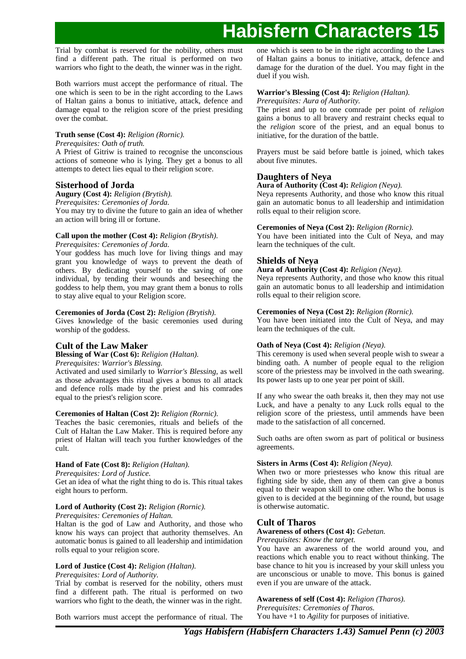Trial by combat is reserved for the nobility, others must find a different path. The ritual is performed on two warriors who fight to the death, the winner was in the right.

Both warriors must accept the performance of ritual. The one which is seen to be in the right according to the Laws of Haltan gains a bonus to initiative, attack, defence and damage equal to the religion score of the priest presiding over the combat.

## **Truth sense (Cost 4):** *Religion (Rornic).*

### *Prerequisites: Oath of truth.*

A Priest of Gitriw is trained to recognise the unconscious actions of someone who is lying. They get a bonus to all attempts to detect lies equal to their religion score.

## **Sisterhood of Jorda**

## **Augury (Cost 4):** *Religion (Brytish).*

*Prerequisites: Ceremonies of Jorda.*

You may try to divine the future to gain an idea of whether an action will bring ill or fortune.

## **Call upon the mother (Cost 4):** *Religion (Brytish).*

*Prerequisites: Ceremonies of Jorda.*

Your goddess has much love for living things and may grant you knowledge of ways to prevent the death of others. By dedicating yourself to the saving of one individual, by tending their wounds and beseeching the goddess to help them, you may grant them a bonus to rolls to stay alive equal to your Religion score.

## **Ceremonies of Jorda (Cost 2):** *Religion (Brytish).*

Gives knowledge of the basic ceremonies used during worship of the goddess.

## **Cult of the Law Maker**

**Blessing of War (Cost 6):** *Religion (Haltan).*

*Prerequisites: Warrior's Blessing.*

Activated and used similarly to *Warrior's Blessing*, as well as those advantages this ritual gives a bonus to all attack and defence rolls made by the priest and his comrades equal to the priest's religion score.

### **Ceremonies of Haltan (Cost 2):** *Religion (Rornic).*

Teaches the basic ceremonies, rituals and beliefs of the Cult of Haltan the Law Maker. This is required before any priest of Haltan will teach you further knowledges of the cult.

## **Hand of Fate (Cost 8):** *Religion (Haltan).*

*Prerequisites: Lord of Justice.*

Get an idea of what the right thing to do is. This ritual takes eight hours to perform.

## **Lord of Authority (Cost 2):** *Religion (Rornic).*

*Prerequisites: Ceremonies of Haltan.*

Haltan is the god of Law and Authority, and those who know his ways can project that authority themselves. An automatic bonus is gained to all leadership and intimidation rolls equal to your religion score.

## **Lord of Justice (Cost 4):** *Religion (Haltan).*

*Prerequisites: Lord of Authority.*

Trial by combat is reserved for the nobility, others must find a different path. The ritual is performed on two warriors who fight to the death, the winner was in the right.

Both warriors must accept the performance of ritual. The

one which is seen to be in the right according to the Laws of Haltan gains a bonus to initiative, attack, defence and damage for the duration of the duel. You may fight in the duel if you wish.

## **Warrior's Blessing (Cost 4):** *Religion (Haltan).*

*Prerequisites: Aura of Authority.*

The priest and up to one comrade per point of *religion* gains a bonus to all bravery and restraint checks equal to the *religion* score of the priest, and an equal bonus to initiative, for the duration of the battle.

Prayers must be said before battle is joined, which takes about five minutes.

## **Daughters of Neya**

## **Aura of Authority (Cost 4):** *Religion (Neya).*

Neya represents Authority, and those who know this ritual gain an automatic bonus to all leadership and intimidation rolls equal to their religion score.

## **Ceremonies of Neya (Cost 2):** *Religion (Rornic).*

You have been initiated into the Cult of Neya, and may learn the techniques of the cult.

## **Shields of Neya**

## **Aura of Authority (Cost 4):** *Religion (Neya).*

Neya represents Authority, and those who know this ritual gain an automatic bonus to all leadership and intimidation rolls equal to their religion score.

## **Ceremonies of Neya (Cost 2):** *Religion (Rornic).*

You have been initiated into the Cult of Neya, and may learn the techniques of the cult.

## **Oath of Neya (Cost 4):** *Religion (Neya).*

This ceremony is used when several people wish to swear a binding oath. A number of people equal to the religion score of the priestess may be involved in the oath swearing. Its power lasts up to one year per point of skill.

If any who swear the oath breaks it, then they may not use Luck, and have a penalty to any Luck rolls equal to the religion score of the priestess, until ammends have been made to the satisfaction of all concerned.

Such oaths are often sworn as part of political or business agreements.

## **Sisters in Arms (Cost 4):** *Religion (Neya).*

When two or more priestesses who know this ritual are fighting side by side, then any of them can give a bonus equal to their weapon skill to one other. Who the bonus is given to is decided at the beginning of the round, but usage is otherwise automatic.

## **Cult of Tharos**

### **Awareness of others (Cost 4):** *Gebetan.*

### *Prerequisites: Know the target.*

You have an awareness of the world around you, and reactions which enable you to react without thinking. The base chance to hit you is increased by your skill unless you are unconscious or unable to move. This bonus is gained even if you are unware of the attack.

**Awareness of self (Cost 4):** *Religion (Tharos). Prerequisites: Ceremonies of Tharos.* You have +1 to *Agility* for purposes of initiative.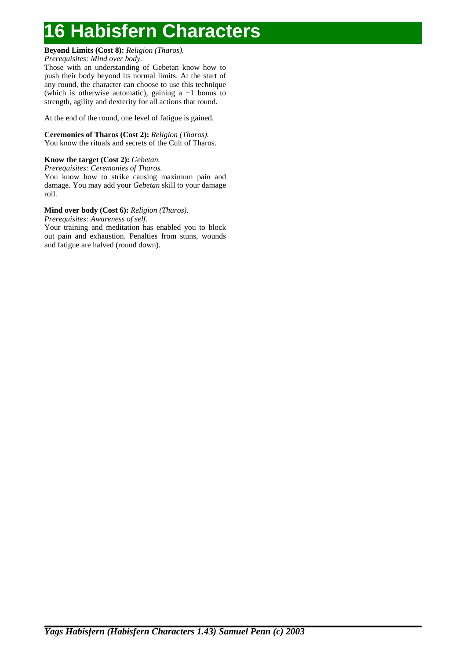## **Beyond Limits (Cost 8):** *Religion (Tharos).*

*Prerequisites: Mind over body.*

Those with an understanding of Gebetan know how to push their body beyond its normal limits. At the start of any round, the character can choose to use this technique (which is otherwise automatic), gaining a +1 bonus to strength, agility and dexterity for all actions that round.

At the end of the round, one level of fatigue is gained.

## **Ceremonies of Tharos (Cost 2):** *Religion (Tharos).* You know the rituals and secrets of the Cult of Tharos.

## **Know the target (Cost 2):** *Gebetan.*

*Prerequisites: Ceremonies of Tharos.* You know how to strike causing maximum pain and damage. You may add your *Gebetan* skill to your damage roll.

## **Mind over body (Cost 6):** *Religion (Tharos).*

*Prerequisites: Awareness of self.*

Your training and meditation has enabled you to block out pain and exhaustion. Penalties from stuns, wounds and fatigue are halved (round down).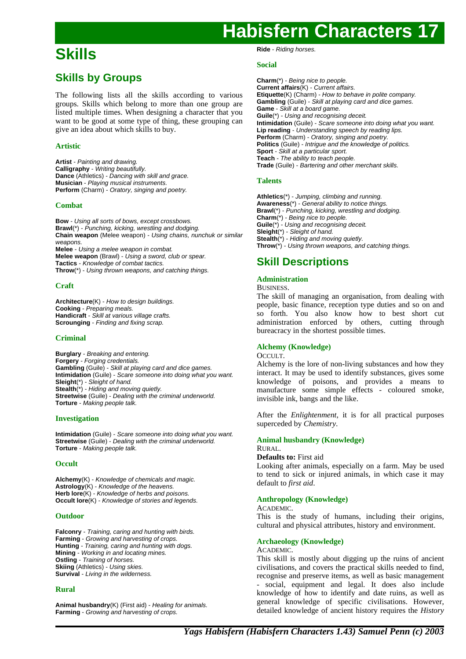## **Skills**

## **Skills by Groups**

The following lists all the skills according to various groups. Skills which belong to more than one group are listed multiple times. When designing a character that you want to be good at some type of thing, these grouping can give an idea about which skills to buy.

## **Artistic**

**Artist** - Painting and drawing. **Calligraphy** - Writing beautifully. **Dance** (Athletics) - Dancing with skill and grace. **Musician** - Playing musical instruments. **Perform** (Charm) - Oratory, singing and poetry.

## **Combat**

**Bow** - Using all sorts of bows, except crossbows. **Brawl**(\*) - Punching, kicking, wrestling and dodging. **Chain weapon** (Melee weapon) - Using chains, nunchuk or similar weapons. **Melee** - Using a melee weapon in combat. **Melee weapon** (Brawl) - Using a sword, club or spear. **Tactics** - Knowledge of combat tactics. **Throw**(\*) - Using thrown weapons, and catching things.

## **Craft**

**Architecture**(K) - How to design buildings. **Cooking** - Preparing meals. **Handicraft** - Skill at various village crafts. **Scrounging** - Finding and fixing scrap.

## **Criminal**

**Burglary** - Breaking and entering. **Forgery** - Forging credentials. **Gambling** (Guile) - Skill at playing card and dice games. **Intimidation** (Guile) - Scare someone into doing what you want. **Sleight**(\*) - Sleight of hand. Stealth<sup>(\*)</sup> - Hiding and moving quietly. **Streetwise** (Guile) - Dealing with the criminal underworld. **Torture** - Making people talk.

## **Investigation**

**Intimidation** (Guile) - Scare someone into doing what you want. **Streetwise** (Guile) - Dealing with the criminal underworld. **Torture** - Making people talk.

## **Occult**

**Alchemy**(K) - Knowledge of chemicals and magic. **Astrology**(K) - Knowledge of the heavens. **Herb lore**(K) - Knowledge of herbs and poisons. **Occult lore**(K) - Knowledge of stories and legends.

## **Outdoor**

**Falconry** - Training, caring and hunting with birds. **Farming** - Growing and harvesting of crops. **Hunting** - Training, caring and hunting with dogs. **Mining** - Working in and locating mines. **Ostling** - Training of horses. **Skiing** (Athletics) - Using skies. **Survival** - Living in the wilderness.

## **Rural**

**Animal husbandry**(K) (First aid) - Healing for animals. **Farming** - Growing and harvesting of crops.

**Ride** - Riding horses.

## **Social**

**Charm**(\*) - Being nice to people. **Current affairs**(K) - Current affairs. **Etiquette**(K) (Charm) - How to behave in polite company. **Gambling** (Guile) - Skill at playing card and dice games. **Game** - Skill at a board game. Guile<sup>(\*)</sup> - Using and recognising deceit. **Intimidation** (Guile) - Scare someone into doing what you want. **Lip reading** - Understanding speech by reading lips. **Perform** (Charm) - Oratory, singing and poetry. **Politics** (Guile) - Intrigue and the knowledge of politics. **Sport** - Skill at a particular sport. **Teach** - The ability to teach people. **Trade** (Guile) - Bartering and other merchant skills.

## **Talents**

**Athletics**(\*) - Jumping, climbing and running. **Awareness**(\*) - General ability to notice things. **Brawl**(\*) - Punching, kicking, wrestling and dodging. **Charm**(\*) - Being nice to people. **Guile**(\*) - Using and recognising deceit. **Sleight**(\*) - Sleight of hand. **Stealth**(\*) - Hiding and moving quietly. **Throw**(\*) - Using thrown weapons, and catching things.

## **Skill Descriptions**

## **Administration**

BUSINESS.

The skill of managing an organisation, from dealing with people, basic finance, reception type duties and so on and so forth. You also know how to best short cut administration enforced by others, cutting through bureacracy in the shortest possible times.

## **Alchemy (Knowledge)**

### OCCULT.

Alchemy is the lore of non-living substances and how they interact. It may be used to identify substances, gives some knowledge of poisons, and provides a means to manufacture some simple effects - coloured smoke, invisible ink, bangs and the like.

After the *Enlightenment*, it is for all practical purposes superceded by *Chemistry*.

#### **Animal husbandry (Knowledge)** RURAL.

## **Defaults to:** First aid

Looking after animals, especially on a farm. May be used to tend to sick or injured animals, in which case it may default to *first aid*.

## **Anthropology (Knowledge)**

### **ACADEMIC.**

This is the study of humans, including their origins, cultural and physical attributes, history and environment.

## **Archaeology (Knowledge)**

### ACADEMIC.

This skill is mostly about digging up the ruins of ancient civilisations, and covers the practical skills needed to find, recognise and preserve items, as well as basic management social, equipment and legal. It does also include knowledge of how to identify and date ruins, as well as general knowledge of specific civilisations. However, detailed knowledge of ancient history requires the *History*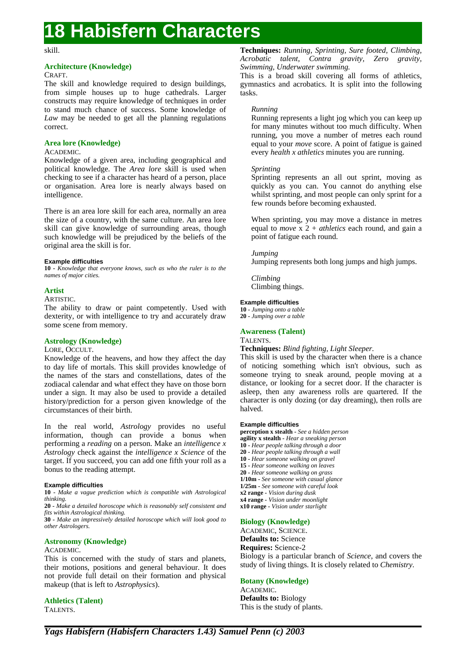### skill.

## **Architecture (Knowledge)**

## **CRAFT**

The skill and knowledge required to design buildings, from simple houses up to huge cathedrals. Larger constructs may require knowledge of techniques in order to stand much chance of success. Some knowledge of *Law* may be needed to get all the planning regulations correct.

## **Area lore (Knowledge)**

### ACADEMIC.

Knowledge of a given area, including geographical and political knowledge. The *Area lore* skill is used when checking to see if a character has heard of a person, place or organisation. Area lore is nearly always based on intelligence.

There is an area lore skill for each area, normally an area the size of a country, with the same culture. An area lore skill can give knowledge of surrounding areas, though such knowledge will be prejudiced by the beliefs of the original area the skill is for.

### **Example difficulties**

**10 -** *Knowledge that everyone knows, such as who the ruler is to the names of major cities.*

## **Artist**

ARTISTIC.

The ability to draw or paint competently. Used with dexterity, or with intelligence to try and accurately draw some scene from memory.

### **Astrology (Knowledge)**

#### LORE, OCCULT.

Knowledge of the heavens, and how they affect the day to day life of mortals. This skill provides knowledge of the names of the stars and constellations, dates of the zodiacal calendar and what effect they have on those born under a sign. It may also be used to provide a detailed history/prediction for a person given knowledge of the circumstances of their birth.

In the real world, *Astrology* provides no useful information, though can provide a bonus when performing a *reading* on a person. Make an *intelligence x Astrology* check against the *intelligence x Science* of the target. If you succeed, you can add one fifth your roll as a bonus to the reading attempt.

#### **Example difficulties**

**10 -** *Make a vague prediction which is compatible with Astrological thinking.*

**20 -** *Make a detailed horoscope which is reasonably self consistent and fits within Astrological thinking.*

**30 -** *Make an impressively detailed horoscope which will look good to other Astrologers.*

### **Astronomy (Knowledge)**

#### ACADEMIC.

This is concerned with the study of stars and planets, their motions, positions and general behaviour. It does not provide full detail on their formation and physical makeup (that is left to *Astrophysics*).

**Athletics (Talent)**

TALENTS.

**Techniques:** *Running, Sprinting, Sure footed, Climbing, Acrobatic talent, Contra gravity, Zero gravity, Swimming, Underwater swimming.*

This is a broad skill covering all forms of athletics, gymnastics and acrobatics. It is split into the following tasks.

### *Running*

Running represents a light jog which you can keep up for many minutes without too much difficulty. When running, you move a number of metres each round equal to your *move* score. A point of fatigue is gained every *health x athletics* minutes you are running.

### *Sprinting*

Sprinting represents an all out sprint, moving as quickly as you can. You cannot do anything else whilst sprinting, and most people can only sprint for a few rounds before becoming exhausted.

When sprinting, you may move a distance in metres equal to *move* x 2 + *athletics* each round, and gain a point of fatigue each round.

#### *Jumping*

Jumping represents both long jumps and high jumps.

*Climbing* Climbing things.

#### **Example difficulties**

**10 -** *Jumping onto a table* **20 -** *Jumping over a table*

## **Awareness (Talent)**

## TALENTS.

**Techniques:** *Blind fighting, Light Sleeper.*

This skill is used by the character when there is a chance of noticing something which isn't obvious, such as someone trying to sneak around, people moving at a distance, or looking for a secret door. If the character is asleep, then any awareness rolls are quartered. If the character is only dozing (or day dreaming), then rolls are halved.

#### **Example difficulties**

**perception x stealth -** *See a hidden person* **agility x stealth -** *Hear a sneaking person* **10 -** *Hear people talking through a door* **20 -** *Hear people talking through a wall* **10 -** *Hear someone walking on gravel* **15 -** *Hear someone walking on leaves* **20 -** *Hear someone walking on grass* **1/10m -** *See someone with casual glance* **1/25m -** *See someone with careful look* **x2 range -** *Vision during dusk* **x4 range -** *Vision under moonlight* **x10 range -** *Vision under starlight*

### **Biology (Knowledge)**

ACADEMIC, SCIENCE.

**Defaults to:** Science

**Requires:** Science-2

Biology is a particular branch of *Science*, and covers the study of living things. It is closely related to *Chemistry*.

## **Botany (Knowledge)**

ACADEMIC. **Defaults to:** Biology This is the study of plants.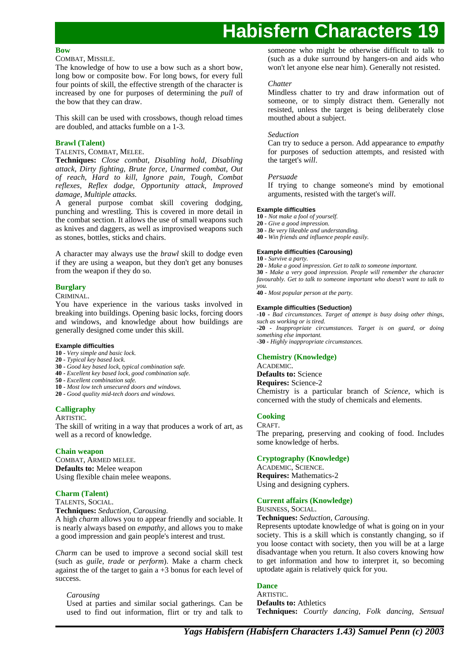#### **Bow**

#### COMBAT, MISSILE.

The knowledge of how to use a bow such as a short bow, long bow or composite bow. For long bows, for every full four points of skill, the effective strength of the character is increased by one for purposes of determining the *pull* of the bow that they can draw.

This skill can be used with crossbows, though reload times are doubled, and attacks fumble on a 1-3.

## **Brawl (Talent)**

#### TALENTS, COMBAT, MELEE.

**Techniques:** *Close combat, Disabling hold, Disabling attack, Dirty fighting, Brute force, Unarmed combat, Out of reach, Hard to kill, Ignore pain, Tough, Combat reflexes, Reflex dodge, Opportunity attack, Improved damage, Multiple attacks.*

A general purpose combat skill covering dodging, punching and wrestling. This is covered in more detail in the combat section. It allows the use of small weapons such as knives and daggers, as well as improvised weapons such as stones, bottles, sticks and chairs.

A character may always use the *brawl* skill to dodge even if they are using a weapon, but they don't get any bonuses from the weapon if they do so.

## **Burglary**

#### CRIMINAL.

You have experience in the various tasks involved in breaking into buildings. Opening basic locks, forcing doors and windows, and knowledge about how buildings are generally designed come under this skill.

#### **Example difficulties**

- **10 -** *Very simple and basic lock.*
- **20 -** *Typical key based lock.*
- **30 -** *Good key based lock, typical combination safe.*
- **40 -** *Excellent key based lock, good combination safe.*
- **50 -** *Excellent combination safe.*
- **10 -** *Most low tech unsecured doors and windows.*
- **20 -** *Good quality mid-tech doors and windows.*

### **Calligraphy**

#### **ARTISTIC.**

The skill of writing in a way that produces a work of art, as well as a record of knowledge.

### **Chain weapon**

COMBAT, ARMED MELEE. **Defaults to:** Melee weapon Using flexible chain melee weapons.

## **Charm (Talent)**

TALENTS, SOCIAL.

**Techniques:** *Seduction, Carousing.*

A high *charm* allows you to appear friendly and sociable. It is nearly always based on *empathy*, and allows you to make a good impression and gain people's interest and trust.

*Charm* can be used to improve a second social skill test (such as *guile*, *trade* or *perform*). Make a charm check against the of the target to gain  $a + 3$  bonus for each level of success.

### *Carousing*

Used at parties and similar social gatherings. Can be used to find out information, flirt or try and talk to someone who might be otherwise difficult to talk to (such as a duke surround by hangers-on and aids who won't let anyone else near him). Generally not resisted.

### *Chatter*

Mindless chatter to try and draw information out of someone, or to simply distract them. Generally not resisted, unless the target is being deliberately close mouthed about a subject.

#### *Seduction*

Can try to seduce a person. Add appearance to *empathy* for purposes of seduction attempts, and resisted with the target's *will*.

#### *Persuade*

If trying to change someone's mind by emotional arguments, resisted with the target's *will*.

#### **Example difficulties**

- **10 -** *Not make a fool of yourself.*
- **20 -** *Give a good impression.*
- **30 -** *Be very likeable and understanding.* **40 -** *Win friends and influence people easily.*

## **Example difficulties (Carousing)**

**10 -** *Survive a party.*

**20 -** *Make a good impression. Get to talk to someone important.*

**30 -** *Make a very good impression. People will remember the character favourably. Get to talk to someone important who doesn't want to talk to you.*

**40 -** *Most popular person at the party.*

#### **Example difficulties (Seduction)**

**-10 -** *Bad circumstances. Target of attempt is busy doing other things, such as working or is tired.*

**-20 -** *Inappropriate circumstances. Target is on guard, or doing something else important.*

**-30 -** *Highly inappropriate circumstances.*

## **Chemistry (Knowledge)**

ACADEMIC.

**Defaults to:** Science **Requires:** Science-2

Chemistry is a particular branch of *Science*, which is concerned with the study of chemicals and elements.

#### **Cooking** CRAFT.

The preparing, preserving and cooking of food. Includes some knowledge of herbs.

### **Cryptography (Knowledge)**

ACADEMIC, SCIENCE. **Requires:** Mathematics-2 Using and designing cyphers.

### **Current affairs (Knowledge)**

BUSINESS, SOCIAL.

**Techniques:** *Seduction, Carousing.*

Represents uptodate knowledge of what is going on in your society. This is a skill which is constantly changing, so if you loose contact with society, then you will be at a large disadvantage when you return. It also covers knowing how to get information and how to interpret it, so becoming uptodate again is relatively quick for you.

## **Dance**

ARTISTIC. **Defaults to:** Athletics **Techniques:** *Courtly dancing, Folk dancing, Sensual*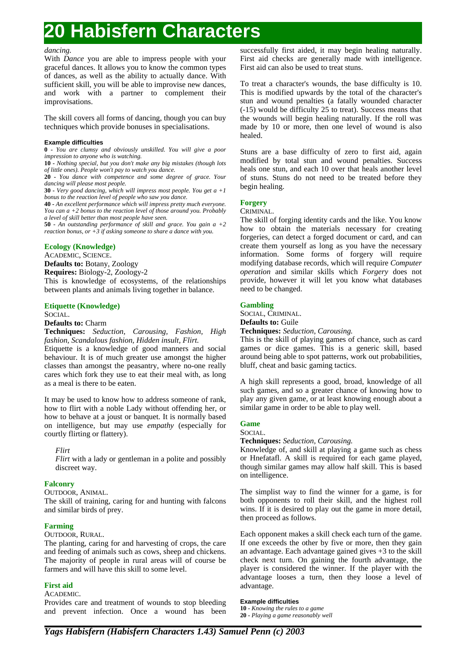### *dancing.*

With *Dance* you are able to impress people with your graceful dances. It allows you to know the common types of dances, as well as the ability to actually dance. With sufficient skill, you will be able to improvise new dances, and work with a partner to complement their improvisations.

The skill covers all forms of dancing, though you can buy techniques which provide bonuses in specialisations.

#### **Example difficulties**

**0 -** *You are clumsy and obviously unskilled. You will give a poor impression to anyone who is watching.*

**10 -** *Nothing special, but you don't make any big mistakes (though lots of little ones). People won't pay to watch you dance.*

**20 -** *You dance with competence and some degree of grace. Your dancing will please most people.*

**30 -** *Very good dancing, which will impress most people. You get a +1 bonus to the reaction level of people who saw you dance.*

**40 -** *An excellent performance which will impress pretty much everyone. You can a +2 bonus to the reaction level of those around you. Probably a level of skill better than most people have seen.*

**50 -** *An outstanding performance of skill and grace. You gain a +2 reaction bonus, or +3 if asking someone to share a dance with you.*

### **Ecology (Knowledge)**

ACADEMIC, SCIENCE.

**Defaults to:** Botany, Zoology

**Requires:** Biology-2, Zoology-2

This is knowledge of ecosystems, of the relationships between plants and animals living together in balance.

## **Etiquette (Knowledge)**

### SOCIAL.

## **Defaults to:** Charm

**Techniques:** *Seduction, Carousing, Fashion, High fashion, Scandalous fashion, Hidden insult, Flirt.*

Etiquette is a knowledge of good manners and social behaviour. It is of much greater use amongst the higher classes than amongst the peasantry, where no-one really cares which fork they use to eat their meal with, as long as a meal is there to be eaten.

It may be used to know how to address someone of rank, how to flirt with a noble Lady without offending her, or how to behave at a joust or banquet. It is normally based on intelligence, but may use *empathy* (especially for courtly flirting or flattery).

### *Flirt*

*Flirt* with a lady or gentleman in a polite and possibly discreet way.

## **Falconry**

OUTDOOR, ANIMAL.

The skill of training, caring for and hunting with falcons and similar birds of prey.

## **Farming**

OUTDOOR, RURAL.

The planting, caring for and harvesting of crops, the care and feeding of animals such as cows, sheep and chickens. The majority of people in rural areas will of course be farmers and will have this skill to some level.

## **First aid**

ACADEMIC.

Provides care and treatment of wounds to stop bleeding and prevent infection. Once a wound has been

successfully first aided, it may begin healing naturally. First aid checks are generally made with intelligence. First aid can also be used to treat stuns.

To treat a character's wounds, the base difficulty is 10. This is modified upwards by the total of the character's stun and wound penalties (a fatally wounded character (-15) would be difficulty 25 to treat). Success means that the wounds will begin healing naturally. If the roll was made by 10 or more, then one level of wound is also healed.

Stuns are a base difficulty of zero to first aid, again modified by total stun and wound penalties. Success heals one stun, and each 10 over that heals another level of stuns. Stuns do not need to be treated before they begin healing.

## **Forgery**

CRIMINAL.

The skill of forging identity cards and the like. You know how to obtain the materials necessary for creating forgeries, can detect a forged document or card, and can create them yourself as long as you have the necessary information. Some forms of forgery will require modifying database records, which will require *Computer operation* and similar skills which *Forgery* does not provide, however it will let you know what databases need to be changed.

## **Gambling**

SOCIAL, CRIMINAL.

**Defaults to:** Guile

**Techniques:** *Seduction, Carousing.*

This is the skill of playing games of chance, such as card games or dice games. This is a generic skill, based around being able to spot patterns, work out probabilities, bluff, cheat and basic gaming tactics.

A high skill represents a good, broad, knowledge of all such games, and so a greater chance of knowing how to play any given game, or at least knowing enough about a similar game in order to be able to play well.

### **Game**

SOCIAL.

**Techniques:** *Seduction, Carousing.*

Knowledge of, and skill at playing a game such as chess or Hnefatafl. A skill is required for each game played, though similar games may allow half skill. This is based on intelligence.

The simplist way to find the winner for a game, is for both opponents to roll their skill, and the highest roll wins. If it is desired to play out the game in more detail, then proceed as follows.

Each opponent makes a skill check each turn of the game. If one exceeds the other by five or more, then they gain an advantage. Each advantage gained gives +3 to the skill check next turn. On gaining the fourth advantage, the player is considered the winner. If the player with the advantage looses a turn, then they loose a level of advantage.

### **Example difficulties**

**10 -** *Knowing the rules to a game*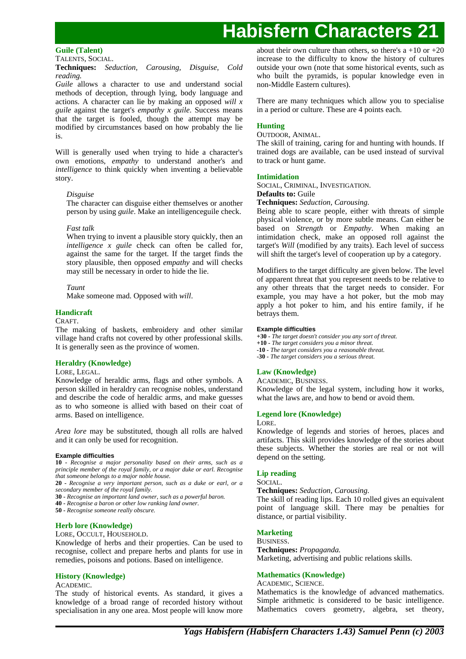## **Guile (Talent)**

TALENTS, SOCIAL.

#### **Techniques:** *Seduction, Carousing, Disguise, Cold reading.*

*Guile* allows a character to use and understand social methods of deception, through lying, body language and actions. A character can lie by making an opposed *will x guile* against the target's *empathy x guile*. Success means that the target is fooled, though the attempt may be modified by circumstances based on how probably the lie is.

Will is generally used when trying to hide a character's own emotions, *empathy* to understand another's and *intelligence* to think quickly when inventing a believable story.

## *Disguise*

The character can disguise either themselves or another person by using *guile*. Make an intelligenceguile check.

## *Fast talk*

When trying to invent a plausible story quickly, then an *intelligence x guile* check can often be called for, against the same for the target. If the target finds the story plausible, then opposed *empathy* and will checks may still be necessary in order to hide the lie.

## *Taunt*

Make someone mad. Opposed with *will*.

## **Handicraft**

### CRAFT.

The making of baskets, embroidery and other similar village hand crafts not covered by other professional skills. It is generally seen as the province of women.

### **Heraldry (Knowledge)**

## LORE, LEGAL.

Knowledge of heraldic arms, flags and other symbols. A person skilled in heraldry can recognise nobles, understand and describe the code of heraldic arms, and make guesses as to who someone is allied with based on their coat of arms. Based on intelligence.

*Area lore* may be substituted, though all rolls are halved and it can only be used for recognition.

### **Example difficulties**

**10 -** *Recognise a major personality based on their arms, such as a principle member of the royal family, or a major duke or earl. Recognise that someone belongs to a major noble house.*

**20 -** *Recognise a very important person, such as a duke or earl, or a secondary member of the royal family.*

- **30 -** *Recognise an important land owner, such as a powerful baron.*
- **40 -** *Recognise a baron or other low ranking land owner.*

**50 -** *Recognise someone really obscure.*

## **Herb lore (Knowledge)**

LORE, OCCULT, HOUSEHOLD.

Knowledge of herbs and their properties. Can be used to recognise, collect and prepare herbs and plants for use in remedies, poisons and potions. Based on intelligence.

## **History (Knowledge)**

## ACADEMIC.

The study of historical events. As standard, it gives a knowledge of a broad range of recorded history without specialisation in any one area. Most people will know more

about their own culture than others, so there's  $a +10$  or  $+20$ increase to the difficulty to know the history of cultures outside your own (note that some historical events, such as who built the pyramids, is popular knowledge even in non-Middle Eastern cultures).

There are many techniques which allow you to specialise in a period or culture. These are 4 points each.

## **Hunting**

## OUTDOOR, ANIMAL.

The skill of training, caring for and hunting with hounds. If trained dogs are available, can be used instead of survival to track or hunt game.

## **Intimidation**

SOCIAL, CRIMINAL, INVESTIGATION.

### **Defaults to:** Guile

## **Techniques:** *Seduction, Carousing.*

Being able to scare people, either with threats of simple physical violence, or by more subtle means. Can either be based on *Strength* or *Empathy*. When making an intimidation check, make an opposed roll against the target's *Will* (modified by any traits). Each level of success will shift the target's level of cooperation up by a category.

Modifiers to the target difficulty are given below. The level of apparent threat that you represent needs to be relative to any other threats that the target needs to consider. For example, you may have a hot poker, but the mob may apply a hot poker to him, and his entire family, if he betrays them.

#### **Example difficulties**

**+30 -** *The target doesn't consider you any sort of threat.* **+10 -** *The target considers you a minor threat.* **-10 -** *The target considers you a reasonable threat.* **-30 -** *The target considers you a serious threat.*

## **Law (Knowledge)**

ACADEMIC, BUSINESS.

Knowledge of the legal system, including how it works, what the laws are, and how to bend or avoid them.

## **Legend lore (Knowledge)**

#### LORE.

Knowledge of legends and stories of heroes, places and artifacts. This skill provides knowledge of the stories about these subjects. Whether the stories are real or not will depend on the setting.

## **Lip reading**

### SOCIAL.

**Techniques:** *Seduction, Carousing.*

The skill of reading lips. Each 10 rolled gives an equivalent point of language skill. There may be penalties for distance, or partial visibility.

## **Marketing**

BUSINESS.

**Techniques:** *Propaganda.* Marketing, advertising and public relations skills.

## **Mathematics (Knowledge)**

ACADEMIC, SCIENCE.

Mathematics is the knowledge of advanced mathematics. Simple arithmetic is considered to be basic intelligence. Mathematics covers geometry, algebra, set theory,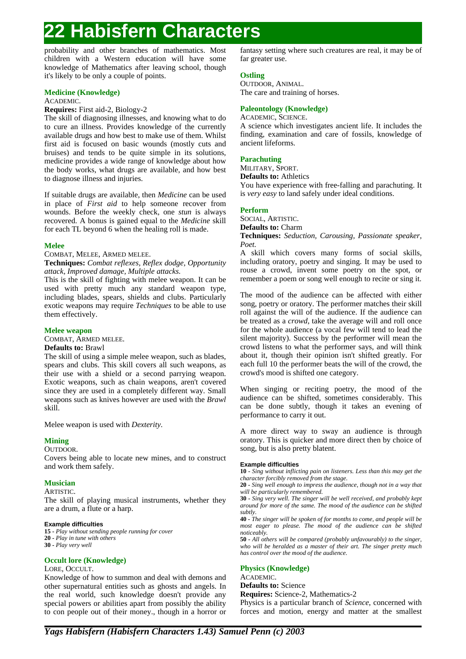probability and other branches of mathematics. Most children with a Western education will have some knowledge of Mathematics after leaving school, though it's likely to be only a couple of points.

## **Medicine (Knowledge)**

ACADEMIC.

**Requires:** First aid-2, Biology-2

The skill of diagnosing illnesses, and knowing what to do to cure an illness. Provides knowledge of the currently available drugs and how best to make use of them. Whilst first aid is focused on basic wounds (mostly cuts and bruises) and tends to be quite simple in its solutions, medicine provides a wide range of knowledge about how the body works, what drugs are available, and how best to diagnose illness and injuries.

If suitable drugs are available, then *Medicine* can be used in place of *First aid* to help someone recover from wounds. Before the weekly check, one *stun* is always recovered. A bonus is gained equal to the *Medicine* skill for each TL beyond 6 when the healing roll is made.

## **Melee**

COMBAT, MELEE, ARMED MELEE.

**Techniques:** *Combat reflexes, Reflex dodge, Opportunity attack, Improved damage, Multiple attacks.*

This is the skill of fighting with melee weapon. It can be used with pretty much any standard weapon type, including blades, spears, shields and clubs. Particularly exotic weapons may require *Techniques* to be able to use them effectively.

### **Melee weapon**

COMBAT, ARMED MELEE.

### **Defaults to:** Brawl

The skill of using a simple melee weapon, such as blades, spears and clubs. This skill covers all such weapons, as their use with a shield or a second parrying weapon. Exotic weapons, such as chain weapons, aren't covered since they are used in a completely different way. Small weapons such as knives however are used with the *Brawl* skill.

Melee weapon is used with *Dexterity*.

## **Mining**

### OUTDOOR.

Covers being able to locate new mines, and to construct and work them safely.

## **Musician**

ARTISTIC.

The skill of playing musical instruments, whether they are a drum, a flute or a harp.

### **Example difficulties**

**15 -** *Play without sending people running for cover* **20 -** *Play in tune with others* **30 -** *Play very well*

### **Occult lore (Knowledge)**

### LORE, OCCULT.

Knowledge of how to summon and deal with demons and other supernatural entities such as ghosts and angels. In the real world, such knowledge doesn't provide any special powers or abilities apart from possibly the ability to con people out of their money., though in a horror or

fantasy setting where such creatures are real, it may be of far greater use.

## **Ostling**

OUTDOOR, ANIMAL. The care and training of horses.

## **Paleontology (Knowledge)**

ACADEMIC, SCIENCE.

A science which investigates ancient life. It includes the finding, examination and care of fossils, knowledge of ancient lifeforms.

### **Parachuting**

MILITARY, SPORT.

**Defaults to:** Athletics

You have experience with free-falling and parachuting. It is *very easy* to land safely under ideal conditions.

## **Perform**

SOCIAL, ARTISTIC.

**Defaults to:** Charm

**Techniques:** *Seduction, Carousing, Passionate speaker, Poet.*

A skill which covers many forms of social skills, including oratory, poetry and singing. It may be used to rouse a crowd, invent some poetry on the spot, or remember a poem or song well enough to recite or sing it.

The mood of the audience can be affected with either song, poetry or oratory. The performer matches their skill roll against the will of the audience. If the audience can be treated as a *crowd*, take the average will and roll once for the whole audience (a vocal few will tend to lead the silent majority). Success by the performer will mean the crowd listens to what the performer says, and will think about it, though their opinion isn't shifted greatly. For each full 10 the performer beats the will of the crowd, the crowd's mood is shifted one category.

When singing or reciting poetry, the mood of the audience can be shifted, sometimes considerably. This can be done subtly, though it takes an evening of performance to carry it out.

A more direct way to sway an audience is through oratory. This is quicker and more direct then by choice of song, but is also pretty blatent.

#### **Example difficulties**

**10 -** *Sing without inflicting pain on listeners. Less than this may get the character forcibly removed from the stage.*

**20 -** *Sing well enough to impress the audience, though not in a way that will be particularly remembered.*

**30 -** *Sing very well. The singer will be well received, and probably kept around for more of the same. The mood of the audience can be shifted subtly.*

**40 -** *The singer will be spoken of for months to come, and people will be most eager to please. The mood of the audience can be shifted noticeably.*

**50 -** *All others will be compared (probably unfavourably) to the singer, who will be heralded as a master of their art. The singer pretty much has control over the mood of the audience.*

## **Physics (Knowledge)**

ACADEMIC.

**Defaults to:** Science

**Requires:** Science-2, Mathematics-2

Physics is a particular branch of *Science*, concerned with forces and motion, energy and matter at the smallest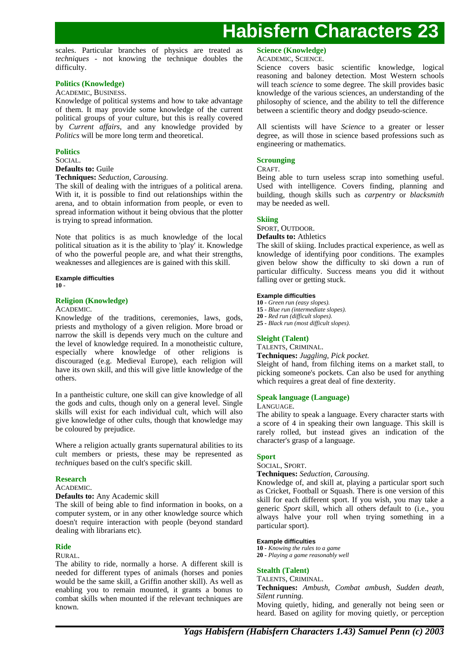scales. Particular branches of physics are treated as *techniques* - not knowing the technique doubles the difficulty.

## **Politics (Knowledge)**

### ACADEMIC, BUSINESS.

Knowledge of political systems and how to take advantage of them. It may provide some knowledge of the current political groups of your culture, but this is really covered by *Current affairs*, and any knowledge provided by *Politics* will be more long term and theoretical.

## **Politics**

#### SOCIAL.

### **Defaults to:** Guile

**Techniques:** *Seduction, Carousing.*

The skill of dealing with the intrigues of a political arena. With it, it is possible to find out relationships within the arena, and to obtain information from people, or even to spread information without it being obvious that the plotter is trying to spread information.

Note that politics is as much knowledge of the local political situation as it is the ability to 'play' it. Knowledge of who the powerful people are, and what their strengths, weaknesses and allegiences are is gained with this skill.

**Example difficulties 10 -**

## **Religion (Knowledge)**

### ACADEMIC.

Knowledge of the traditions, ceremonies, laws, gods, priests and mythology of a given religion. More broad or narrow the skill is depends very much on the culture and the level of knowledge required. In a monotheistic culture, especially where knowledge of other religions is discouraged (e.g. Medieval Europe), each religion will have its own skill, and this will give little knowledge of the others.

In a pantheistic culture, one skill can give knowledge of all the gods and cults, though only on a general level. Single skills will exist for each individual cult, which will also give knowledge of other cults, though that knowledge may be coloured by prejudice.

Where a religion actually grants supernatural abilities to its cult members or priests, these may be represented as *techniques* based on the cult's specific skill.

### **Research**

#### **ACADEMIC**

**Defaults to:** Any Academic skill

The skill of being able to find information in books, on a computer system, or in any other knowledge source which doesn't require interaction with people (beyond standard dealing with librarians etc).

### **Ride**

## RURAL.

The ability to ride, normally a horse. A different skill is needed for different types of animals (horses and ponies would be the same skill, a Griffin another skill). As well as enabling you to remain mounted, it grants a bonus to combat skills when mounted if the relevant techniques are known.

## **Science (Knowledge)**

### ACADEMIC, SCIENCE.

Science covers basic scientific knowledge, logical reasoning and baloney detection. Most Western schools will teach *science* to some degree. The skill provides basic knowledge of the various sciences, an understanding of the philosophy of science, and the ability to tell the difference between a scientific theory and dodgy pseudo-science.

All scientists will have *Science* to a greater or lesser degree, as will those in science based professions such as engineering or mathematics.

### **Scrounging**

### CRAFT.

Being able to turn useless scrap into something useful. Used with intelligence. Covers finding, planning and building, though skills such as *carpentry* or *blacksmith* may be needed as well.

### **Skiing**

#### SPORT, OUTDOOR.

**Defaults to:** Athletics

The skill of skiing. Includes practical experience, as well as knowledge of identifying poor conditions. The examples given below show the difficulty to ski down a run of particular difficulty. Success means you did it without falling over or getting stuck.

#### **Example difficulties**

**10 -** *Green run (easy slopes).*

- **15 -** *Blue run (intermediate slopes).*
- **20 -** *Red run (difficult slopes).*
- **25 -** *Black run (most difficult slopes).*

## **Sleight (Talent)**

TALENTS, CRIMINAL.

**Techniques:** *Juggling, Pick pocket.*

Sleight of hand, from filching items on a market stall, to picking someone's pockets. Can also be used for anything which requires a great deal of fine dexterity.

### **Speak language (Language)**

### LANGUAGE.

The ability to speak a language. Every character starts with a score of 4 in speaking their own language. This skill is rarely rolled, but instead gives an indication of the character's grasp of a language.

## **Sport**

## SOCIAL, SPORT.

**Techniques:** *Seduction, Carousing.*

Knowledge of, and skill at, playing a particular sport such as Cricket, Football or Squash. There is one version of this skill for each different sport. If you wish, you may take a generic *Sport* skill, which all others default to (i.e., you always halve your roll when trying something in a particular sport).

### **Example difficulties**

**10 -** *Knowing the rules to a game* **20 -** *Playing a game reasonably well*

### **Stealth (Talent)**

### TALENTS, CRIMINAL.

**Techniques:** *Ambush, Combat ambush, Sudden death, Silent running.*

Moving quietly, hiding, and generally not being seen or heard. Based on agility for moving quietly, or perception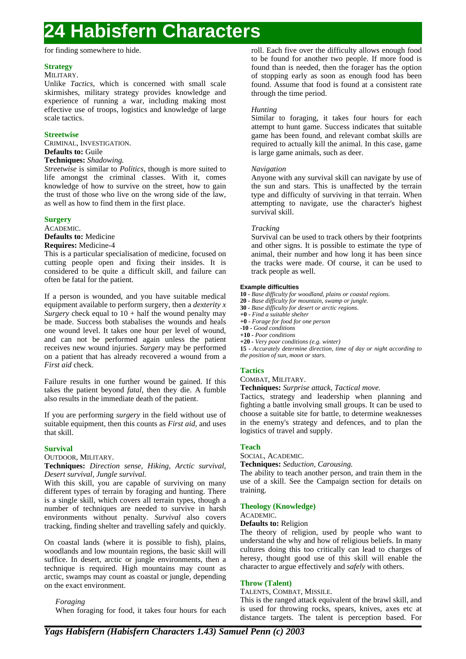for finding somewhere to hide.

## **Strategy**

## MILITARY.

Unlike *Tactics*, which is concerned with small scale skirmishes, military strategy provides knowledge and experience of running a war, including making most effective use of troops, logistics and knowledge of large scale tactics.

## **Streetwise**

CRIMINAL, INVESTIGATION. **Defaults to:** Guile

## **Techniques:** *Shadowing.*

*Streetwise* is similar to *Politics*, though is more suited to life amongst the criminal classes. With it, comes knowledge of how to survive on the street, how to gain the trust of those who live on the wrong side of the law, as well as how to find them in the first place.

### **Surgery**

ACADEMIC. **Defaults to:** Medicine

## **Requires:** Medicine-4

This is a particular specialisation of medicine, focused on cutting people open and fixing their insides. It is considered to be quite a difficult skill, and failure can often be fatal for the patient.

If a person is wounded, and you have suitable medical equipment available to perform surgery, then a *dexterity x Surgery* check equal to  $10 + \text{half}$  the wound penalty may be made. Success both stabalises the wounds and heals one wound level. It takes one hour per level of wound, and can not be performed again unless the patient receives new wound injuries. *Surgery* may be performed on a patient that has already recovered a wound from a *First aid* check.

Failure results in one further wound be gained. If this takes the patient beyond *fatal*, then they die. A fumble also results in the immediate death of the patient.

If you are performing *surgery* in the field without use of suitable equipment, then this counts as *First aid*, and uses that skill.

## **Survival**

OUTDOOR, MILITARY.

**Techniques:** *Direction sense, Hiking, Arctic survival, Desert survival, Jungle survival.*

With this skill, you are capable of surviving on many different types of terrain by foraging and hunting. There is a single skill, which covers all terrain types, though a number of techniques are needed to survive in harsh environments without penalty. *Survival* also covers tracking, finding shelter and travelling safely and quickly.

On coastal lands (where it is possible to fish), plains, woodlands and low mountain regions, the basic skill will suffice. In desert, arctic or jungle environments, then a technique is required. High mountains may count as arctic, swamps may count as coastal or jungle, depending on the exact environment.

*Foraging*

When foraging for food, it takes four hours for each

roll. Each five over the difficulty allows enough food to be found for another two people. If more food is found than is needed, then the forager has the option of stopping early as soon as enough food has been found. Assume that food is found at a consistent rate through the time period.

## *Hunting*

Similar to foraging, it takes four hours for each attempt to hunt game. Success indicates that suitable game has been found, and relevant combat skills are required to actually kill the animal. In this case, game is large game animals, such as deer.

## *Navigation*

Anyone with any survival skill can navigate by use of the sun and stars. This is unaffected by the terrain type and difficulty of surviving in that terrain. When attempting to navigate, use the character's highest survival skill.

## *Tracking*

Survival can be used to track others by their footprints and other signs. It is possible to estimate the type of animal, their number and how long it has been since the tracks were made. Of course, it can be used to track people as well.

## **Example difficulties**

**10 -** *Base difficulty for woodland, plains or coastal regions.*

- **20 -** *Base difficulty for mountain, swamp or jungle.*
- **30 -** *Base difficulty for desert or arctic regions.*
- **+0 -** *Find a suitable shelter*
- **+0 -** *Forage for food for one person*
- **-10 -** *Good conditions*
- **+10 -** *Poor conditions* **+20 -** *Very poor conditions (e.g. winter)*

**15 -** *Accurately determine direction, time of day or night according to the position of sun, moon or stars.*

## **Tactics**

COMBAT, MILITARY.

**Techniques:** *Surprise attack, Tactical move.*

Tactics, strategy and leadership when planning and fighting a battle involving small groups. It can be used to choose a suitable site for battle, to determine weaknesses in the enemy's strategy and defences, and to plan the logistics of travel and supply.

## **Teach**

SOCIAL, ACADEMIC.

**Techniques:** *Seduction, Carousing.*

The ability to teach another person, and train them in the use of a skill. See the Campaign section for details on training.

## **Theology (Knowledge)**

### ACADEMIC.

### **Defaults to:** Religion

The theory of religion, used by people who want to understand the why and how of religious beliefs. In many cultures doing this too critically can lead to charges of heresy, thought good use of this skill will enable the character to argue effectively and *safely* with others.

## **Throw (Talent)**

TALENTS, COMBAT, MISSILE.

This is the ranged attack equivalent of the brawl skill, and is used for throwing rocks, spears, knives, axes etc at distance targets. The talent is perception based. For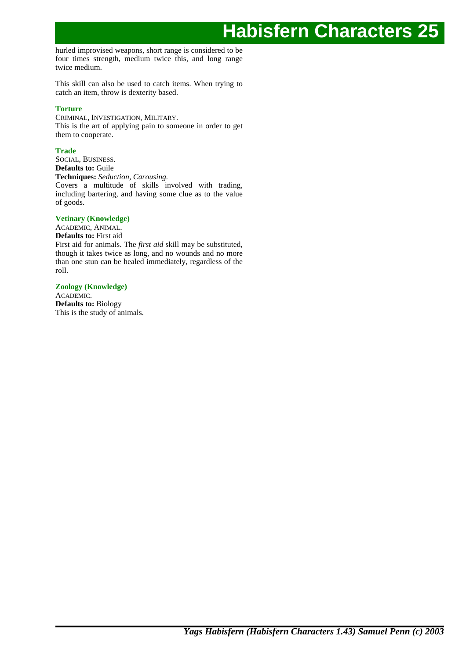hurled improvised weapons, short range is considered to be four times strength, medium twice this, and long range twice medium.

This skill can also be used to catch items. When trying to catch an item, throw is dexterity based.

## **Torture**

CRIMINAL, INVESTIGATION, MILITARY. This is the art of applying pain to someone in order to get them to cooperate.

## **Trade**

SOCIAL, BUSINESS. **Defaults to:** Guile **Techniques:** *Seduction, Carousing.* Covers a multitude of skills involved with trading, including bartering, and having some clue as to the value of goods.

## **Vetinary (Knowledge)**

ACADEMIC, ANIMAL. **Defaults to:** First aid First aid for animals. The *first aid* skill may be substituted, though it takes twice as long, and no wounds and no more than one stun can be healed immediately, regardless of the roll.

## **Zoology (Knowledge)**

ACADEMIC. **Defaults to:** Biology This is the study of animals.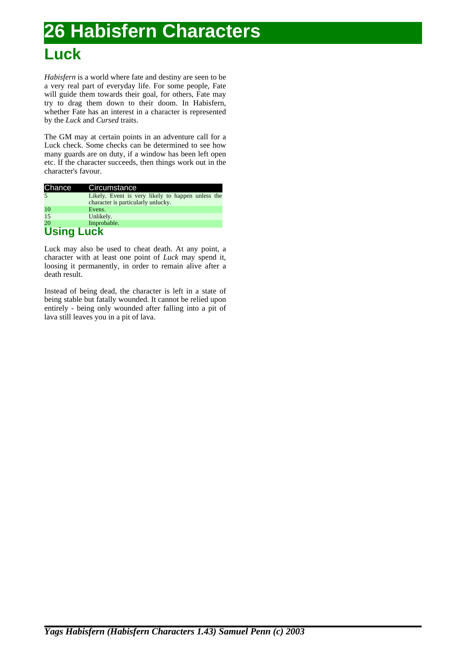## **Luck**

*Habisfern* is a world where fate and destiny are seen to be a very real part of everyday life. For some people, Fate will guide them towards their goal, for others, Fate may try to drag them down to their doom. In Habisfern, whether Fate has an interest in a character is represented by the *Luck* and *Cursed* traits.

The GM may at certain points in an adventure call for a Luck check. Some checks can be determined to see how many guards are on duty, if a window has been left open etc. If the character succeeds, then things work out in the character's favour.

| Chance            | Circumstance                                                                            |
|-------------------|-----------------------------------------------------------------------------------------|
| $\overline{5}$    | Likely. Event is very likely to happen unless the<br>character is particularly unlucky. |
| 10                | Evens.                                                                                  |
| 15                | Unlikely.                                                                               |
| 20                | Improbable.                                                                             |
| <b>Using Luck</b> |                                                                                         |

Luck may also be used to cheat death. At any point, a character with at least one point of *Luck* may spend it, loosing it permanently, in order to remain alive after a death result.

Instead of being dead, the character is left in a state of being stable but fatally wounded. It cannot be relied upon entirely - being only wounded after falling into a pit of lava still leaves you in a pit of lava.